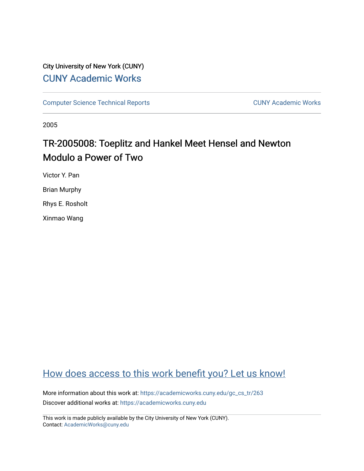# City University of New York (CUNY) [CUNY Academic Works](https://academicworks.cuny.edu/)

[Computer Science Technical Reports](https://academicworks.cuny.edu/gc_cs_tr) **CUNY Academic Works** CUNY Academic Works

2005

# TR-2005008: Toeplitz and Hankel Meet Hensel and Newton Modulo a Power of Two

Victor Y. Pan

Brian Murphy

Rhys E. Rosholt

Xinmao Wang

# [How does access to this work benefit you? Let us know!](http://ols.cuny.edu/academicworks/?ref=https://academicworks.cuny.edu/gc_cs_tr/263)

More information about this work at: [https://academicworks.cuny.edu/gc\\_cs\\_tr/263](https://academicworks.cuny.edu/gc_cs_tr/263)  Discover additional works at: [https://academicworks.cuny.edu](https://academicworks.cuny.edu/?)

This work is made publicly available by the City University of New York (CUNY). Contact: [AcademicWorks@cuny.edu](mailto:AcademicWorks@cuny.edu)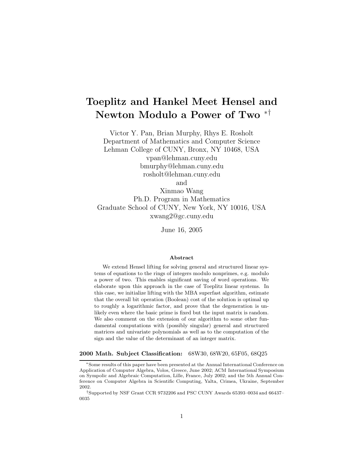# **Toeplitz and Hankel Meet Hensel and Newton Modulo a Power of Two** ∗†

Victor Y. Pan, Brian Murphy, Rhys E. Rosholt Department of Mathematics and Computer Science Lehman College of CUNY, Bronx, NY 10468, USA vpan@lehman.cuny.edu bmurphy@lehman.cuny.edu rosholt@lehman.cuny.edu

and

Xinmao Wang Ph.D. Program in Mathematics Graduate School of CUNY, New York, NY 10016, USA xwang2@gc.cuny.edu

June 16, 2005

#### **Abstract**

We extend Hensel lifting for solving general and structured linear systems of equations to the rings of integers modulo nonprimes, e.g. modulo a power of two. This enables significant saving of word operations. We elaborate upon this approach in the case of Toeplitz linear systems. In this case, we initialize lifting with the MBA superfast algorithm, estimate that the overall bit operation (Boolean) cost of the solution is optimal up to roughly a logarithmic factor, and prove that the degeneration is unlikely even where the basic prime is fixed but the input matrix is random. We also comment on the extension of our algorithm to some other fundamental computations with (possibly singular) general and structured matrices and univariate polynomials as well as to the computation of the sign and the value of the determinant of an integer matrix.

#### **2000 Math. Subject Classification:** 68W30, 68W20, 65F05, 68Q25

<sup>∗</sup>Some results of this paper have been presented at the Annual International Conference on Application of Computer Algebra, Volos, Greece, June 2002; ACM International Symposium on Sympolic and Algebraic Computation, Lille, France, July 2002; and the 5th Annual Conference on Computer Algebra in Scientific Computing, Yalta, Crimea, Ukraine, September 2002.

<sup>†</sup>Supported by NSF Grant CCR 9732206 and PSC CUNY Awards 65393–0034 and 66437– 0035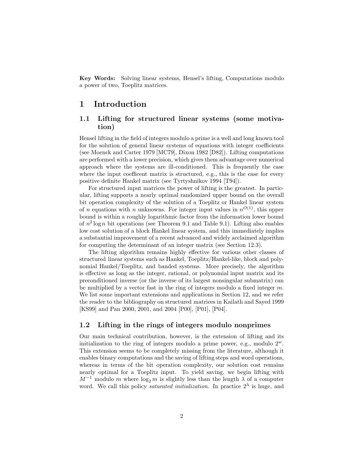**Key Words:** Solving linear systems, Hensel's lifting, Computations modulo a power of two, Toeplitz matrices.

## **1 Introduction**

## **1.1 Lifting for structured linear systems (some motivation)**

Hensel lifting in the field of integers modulo a prime is a well and long known tool for the solution of general linear systems of equations with integer coefficients (see Moenck and Carter 1979 [MC79], Dixon 1982 [D82]). Lifting computations are performed with a lower precision, which gives them advantage over numerical approach where the systems are ill-conditioned. This is frequently the case where the input coefficent matrix is structured, e.g., this is the case for every positive definite Hankel matrix (see Tyrtyshnikov 1994 [T94]).

For structured input matrices the power of lifting is the greatest. In particular, lifting supports a nearly optimal randomized upper bound on the overall bit operation complexity of the solution of a Toeplitz or Hankel linear system of *n* equations with *n* unknowns. For integer input values in  $n^{O(1)}$ , this upper bound is within a roughly logarithmic factor from the information lower bound of  $n^2 \log n$  bit operations (see Theorem 9.1 and Table 9.1). Lifting also enables low cost solution of a block Hankel linear system, and this immediately implies a substantial improvement of a recent advanced and widely acclaimed algorithm for computing the determinant of an integer matrix (see Section 12.3).

The lifting algorithm remains highly effective for various other classes of structured linear systems such as Hankel, Toeplitz/Hankel-like, block and polynomial Hankel/Toeplitz, and banded systems. More precisely, the algorithm is effective as long as the integer, rational, or polynomial input matrix and its preconditioned inverse (or the inverse of its largest nonsingular submatrix) can be multiplied by a vector fast in the ring of integers modulo a fixed integer  $m$ . We list some important extensions and applications in Section 12, and we refer the reader to the bibliography on structured matrices in Kailath and Sayed 1999 [KS99] and Pan 2000, 2001, and 2004 [P00], [P01], [P04].

### **1.2 Lifting in the rings of integers modulo nonprimes**

Our main technical contribution, however, is the extension of lifting and its initialization to the ring of integers modulo a prime power, e.g., modulo  $2^w$ . This extension seems to be completely missing from the literature, although it enables binary computations and the saving of lifting steps and word operations, whereas in terms of the bit operation complexity, our solution cost remains nearly optimal for a Toeplitz input. To yield saving, we begin lifting with  $M^{-1}$  modulo m where  $\log_2 m$  is slightly less than the length  $\lambda$  of a computer word. We call this policy *saturated initialization*. In practice  $2^{\lambda}$  is huge, and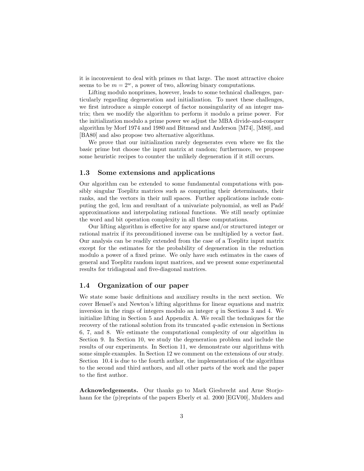it is inconvenient to deal with primes  $m$  that large. The most attractive choice seems to be  $m = 2^w$ , a power of two, allowing binary computations.

Lifting modulo nonprimes, however, leads to some technical challenges, particularly regarding degeneration and initialization. To meet these challenges, we first introduce a simple concept of factor nonsingularity of an integer matrix; then we modify the algorithm to perform it modulo a prime power. For the initialization modulo a prime power we adjust the MBA divide-and-conquer algorithm by Morf 1974 and 1980 and Bitmead and Anderson [M74], [M80], and [BA80] and also propose two alternative algorithms.

We prove that our initialization rarely degenerates even where we fix the basic prime but choose the input matrix at random; furthermore, we propose some heuristic recipes to counter the unlikely degeneration if it still occurs.

#### **1.3 Some extensions and applications**

Our algorithm can be extended to some fundamental computations with possibly singular Toeplitz matrices such as computing their determinants, their ranks, and the vectors in their null spaces. Further applications include computing the gcd, lcm and resultant of a univariate polynomial, as well as  $Pad\acute{e}$ approximations and interpolating rational functions. We still nearly optimize the word and bit operation complexity in all these computations.

Our lifting algorithm is effective for any sparse and/or structured integer or rational matrix if its preconditioned inverse can be multiplied by a vector fast. Our analysis can be readily extended from the case of a Toeplitz input matrix except for the estimates for the probability of degeneration in the reduction modulo a power of a fixed prime. We only have such estimates in the cases of general and Toeplitz random input matrices, and we present some experimental results for tridiagonal and five-diagonal matrices.

#### **1.4 Organization of our paper**

We state some basic definitions and auxiliary results in the next section. We cover Hensel's and Newton's lifting algorithms for linear equations and matrix inversion in the rings of integers modulo an integer  $q$  in Sections 3 and 4. We initialize lifting in Section 5 and Appendix A. We recall the techniques for the recovery of the rational solution from its truncated q-adic extension in Sections 6, 7, and 8. We estimate the computational complexity of our algorithm in Section 9. In Section 10, we study the degeneration problem and include the results of our experiments. In Section 11, we demonstrate our algorithms with some simple examples. In Section 12 we comment on the extensions of our study. Section 10.4 is due to the fourth author, the implementation of the algorithms to the second and third authors, and all other parts of the work and the paper to the first author.

**Acknowledgements.** Our thanks go to Mark Giesbrecht and Arne Storjohann for the (p)reprints of the papers Eberly et al. 2000 [EGV00], Mulders and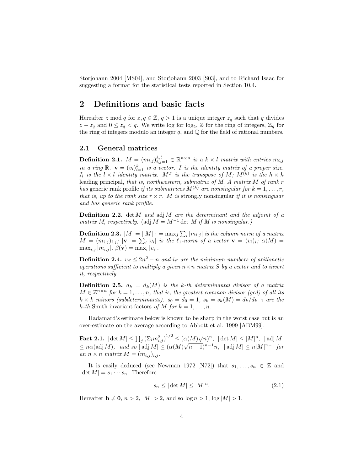Storjohann 2004 [MS04], and Storjohann 2003 [S03], and to Richard Isaac for suggesting a format for the statistical tests reported in Section 10.4.

## **2 Definitions and basic facts**

Hereafter z mod q for  $z, q \in \mathbb{Z}, q > 1$  is a unique integer  $z_q$  such that q divides  $z - z_q$  and  $0 \le z_q < q$ . We write log for log<sub>2</sub>,  $\mathbb{Z}$  for the ring of integers,  $\mathbb{Z}_q$  for the ring of integers modulo an integer  $q$ , and  $\mathbb Q$  for the field of rational numbers.

### **2.1 General matrices**

**Definition 2.1.**  $M = (m_{i,j})_{i,j=1}^{k,l} \in \mathbb{R}^{n \times n}$  is a k × l matrix with entries  $m_{i,j}$ *in a ring*  $\mathbb{R}$ .  $\mathbf{v} = (v_i)_{i=1}^k$  *is a vector. I is the identity matrix of a proper size.*<br>*I, is the l*  $\vee$  *l identity matrix*  $M^T$  *is the transpase of*  $M \cdot M^{(h)}$  *is the b*  $\vee$  *b*  $I_l$  *is the*  $l \times l$  *identity matrix.*  $M^T$  *is the transpose of*  $M$ *;*  $M^{(h)}$  *is the*  $h \times h$ leading principal*, that is, northwestern, submatrix of M. A matrix* M *of rank* r *has* generic rank profile *if its submatrices*  $M^{(k)}$  *are nonsingular for*  $k = 1, \ldots, r$ *, that is, up to the rank size*  $r \times r$ *. M is strongly nonsingular if it is nonsingular and has generic rank profile.*

**Definition 2.2.** det M *and* adj M *are the determinant and the adjoint of a matrix M, respectively.* (adj  $M = M^{-1}$  det *M if M is nonsingular.)* 

**Definition 2.3.**  $|M| = ||M||_1 = \max_j \sum_i |m_{i,j}|$  is the column norm of a matrix  $M = (m_{i,j})_{i,j}; |\mathbf{v}| = \sum_i |v_i|$  *is the*  $\ell_1$ -norm of a vector  $\mathbf{v} = (v_i)_i; \alpha(M) =$  $\max_{i,j} |m_{i,j}|, \ \beta(\mathbf{v}) = \max_i |v_i|.$ 

**Definition 2.4.**  $v_S \leq 2n^2 - n$  and is are the minimum numbers of arithmetic *operations sufficient to multiply a given* n×n *matrix* S *by a vector and to invert it, respectively.*

**Definition 2.5.**  $d_k = d_k(M)$  *is the k-th determinantal divisor of a matrix*  $M \in \mathbb{Z}^{n \times n}$  for  $k = 1, \ldots, n$ , that is, the greatest common divisor (gcd) of all its  $k \times k$  *minors (subdeterminants).*  $s_0 = d_0 = 1$ ,  $s_k = s_k(M) = d_k/d_{k-1}$  are the  $k$ -th Smith invariant factors of M for  $k = 1, \ldots, n$ .

Hadamard's estimate below is known to be sharp in the worst case but is an over-estimate on the average according to Abbott et al. 1999 [ABM99].

 $\textbf{Fact 2.1.} \; \vert \det M \vert \leq \prod_j \left( \Sigma_i m_{i,j}^2 \right)^{1/2} \leq (\alpha(M) \sqrt{n})^n, \; \vert \det M \vert \leq \vert M \vert^n, \; \vert \operatorname{adj} M \vert$  $\leq$  natural  $\leq$  natural  $\leq$   $\lfloor \frac{n}{2} \rfloor$   $\leq$   $\lfloor \frac{n}{2} \rfloor$   $\lfloor \frac{n}{2} \rfloor$   $\lfloor \frac{n}{2} \rfloor$   $\lfloor \frac{n}{2} \rfloor$   $\lfloor \frac{n}{2} \rfloor$   $\lfloor \frac{n}{2} \rfloor$   $\lfloor \frac{n}{2} \rfloor$   $\lfloor \frac{n}{2} \rfloor$   $\lfloor \frac{n}{2} \rfloor$   $\lfloor \frac{n}{2} \rfloor$   $\lfloor \frac{n}{2} \rfloor$  *an*  $n \times n$  *matrix*  $M = (m_{i,j})_{i,j}$ .

It is easily deduced (see Newman 1972 [N72]) that  $s_1, \ldots, s_n \in \mathbb{Z}$  and  $|\det M| = s_1 \cdots s_n$ . Therefore

$$
s_n \le |\det M| \le |M|^n. \tag{2.1}
$$

Hereafter  $\mathbf{b} \neq \mathbf{0}$ ,  $n > 2$ ,  $|M| > 2$ , and so  $\log n > 1$ ,  $\log |M| > 1$ .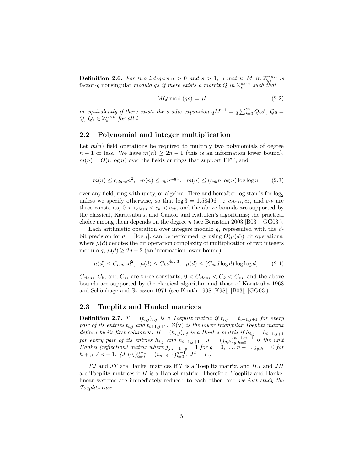**Definition 2.6.** For two integers  $q > 0$  and  $s > 1$ , a matrix M in  $\mathbb{Z}_{qs}^{n \times n}$  is factor-q nonsingular *modulo* qs *if there exists a matrix*  $Q$  *in*  $\mathbb{Z}_s^{n \times n}$  *such that* 

$$
MQ \bmod (qs) = qI \tag{2.2}
$$

*or equivalently if there exists the s-adic expansion*  $qM^{-1} = q \sum_{i=0}^{\infty} Q_i s^i$ ,  $Q_0 = Q_1 \subseteq \mathbb{Z}^{n \times n}$  for all i  $Q, Q_i \in \mathbb{Z}_{\infty}^{n \times n}$  *for all i.* 

#### **2.2 Polynomial and integer multiplication**

Let  $m(n)$  field operations be required to multiply two polynomials of degree  $n-1$  or less. We have  $m(n) \geq 2n-1$  (this is an information lower bound),  $m(n) = O(n \log n)$  over the fields or rings that support FFT, and

$$
m(n) \le c_{class} n^2, \quad m(n) \le c_k n^{\log 3}, \quad m(n) \le (c_{ck} n \log n) \log \log n \tag{2.3}
$$

over any field, ring with unity, or algebra. Here and hereafter log stands for logunless we specify otherwise, so that  $\log 3 = 1.58496...$ ;  $c_{class}$ ,  $c_k$ , and  $c_{ck}$  are three constants,  $0 < c_{class} < c_k < c_{ck}$ , and the above bounds are supported by the classical, Karatsuba's, and Cantor and Kaltofen's algorithms; the practical choice among them depends on the degree  $n$  (see Bernstein 2003 [B03], [GG03]).

Each arithmetic operation over integers modulo  $q$ , represented with the  $d$ bit precision for  $d = \lceil \log q \rceil$ , can be performed by using  $O(\mu(d))$  bit operations, where  $\mu(d)$  denotes the bit operation complexity of multiplication of two integers modulo q,  $\mu(d) \geq 2d - 2$  (an information lower bound),

$$
\mu(d) \le C_{class}d^2, \quad \mu(d) \le C_k d^{\log 3}, \quad \mu(d) \le (C_{ss}d \log d) \log \log d, \tag{2.4}
$$

 $C_{class}, C_k$ , and  $C_{ss}$  are three constants,  $0 < C_{class} < C_k < C_{ss}$ , and the above bounds are supported by the classical algorithm and those of Karutsuba 1963 and Schönhage and Strassen 1971 (see Knuth 1998 [K98], [B03], [GG03]).

#### **2.3 Toeplitz and Hankel matrices**

**Definition 2.7.**  $T = (t_{i,j})_{i,j}$  *is a Toeplitz matrix if*  $t_{i,j} = t_{i+1,j+1}$  *for every pair of its entries*  $t_{i,j}$  *and*  $t_{i+1,j+1}$ *.*  $Z(\mathbf{v})$  *is the lower triangular Toeplitz matrix defined by its first column*  $\mathbf{v}$ *.*  $H = (h_{i,j})_{i,j}$  *is a Hankel matrix if*  $h_{i,j} = h_{i-1,j+1}$ *defined by its first column* **v***.*  $H = (h_{i,j})_{i,j}$  *is a Hankel matrix if*  $h_{i,j} = h_{i-1,j+1}$ *for every pair of its entries*  $h_{i,j}$  *and*  $h_{i-1,j+1}$ ,  $J = (j_{g,h})_{g,h=0}^{n-1,n-1}$  *is the unit*  $Hankel$  (reflection) matrix where *i*  $I = \frac{1}{n}$  for  $a = 0$ ,  $\frac{n-1}{n-1}$  *i*,  $i = 0$  for *Hankel (reflection) matrix where*  $j_{g,n-1-g} = 1$  *for*  $g = 0, ..., n-1$ ,  $j_{g,h} = 0$  *for*  $h + g \neq n-1$ .  $(J (v_i)_{i=0}^{n-1} = (v_{n-i-1})_{i=0}^{n-1}$ ,  $J^2 = I$ .)

 $TJ$  and  $JT$  are Hankel matrices if T is a Toeplitz matrix, and  $HJ$  and  $JH$ are Toeplitz matrices if  $H$  is a Hankel matrix. Therefore, Toeplitz and Hankel linear systems are immediately reduced to each other, and *we just study the Toeplitz case.*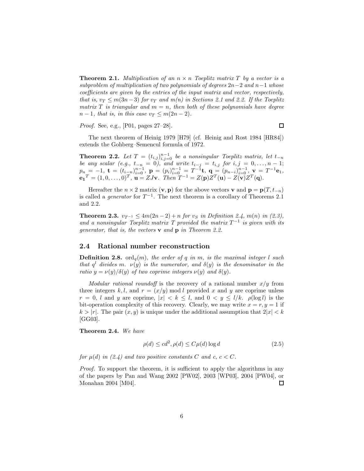**Theorem 2.1.** *Multiplication of an*  $n \times n$  *Toeplitz matrix*  $T$  *by a vector is a subproblem of multiplication of two polynomials of degrees* 2n−2 *and* n−1 *whose coefficients are given by the entries of the input matrix and vector, respectively, that is,*  $v_T \leq m(3n-3)$  *for*  $v_T$  *and*  $m(n)$  *in Sections 2.1 and 2.2. If the Toeplitz matrix*  $T$  *is triangular and*  $m = n$ *, then both of these polynomials have degree*  $n-1$ *, that is, in this case*  $v_T \leq m(2n-2)$ *.* 

*Proof.* See, e.g., [P01, pages 27–28].

 $\Box$ 

The next theorem of Heinig 1979 [H79] (cf. Heinig and Rost 1984 [HR84]) extends the Gohberg–Semencul formula of 1972.

**Theorem 2.2.** *Let*  $T = (t_{i,j})_{i,j=0}^{n-1}$  *be a nonsingular Toeplitz matrix, let*  $t_{-n}$  *be any scalar (e.g.,*  $t_{-n} = 0$ *), and write*  $t_{i-j} = t_{i,j}$  *for*  $i, j = 0, \ldots, n-1$ ;  $p_n = -1$ ,  $\mathbf{t} = (t_{i-n})_{i=0}^{n-1}$ ,  $\mathbf{p} = (p_i)_{i=0}^{n-1} = T^{-1}\mathbf{t}$ ,  $\mathbf{q} = (p_{n-i})_{i=0}^{n-1}$ ,  $\mathbf{v} = T^{-1}\mathbf{e}_1$ ,<br>  $\mathbf{e_1}^T = (1,0,\ldots,0)^T$ ,  $\mathbf{u} = ZJ\mathbf{v}$ . Then  $T^{-1} = Z(\mathbf{p})Z^T(\mathbf{u}) - Z(\mathbf{v})Z^T(\mathbf{q})$ .

Hereafter the  $n \times 2$  matrix  $(\mathbf{v}, \mathbf{p})$  for the above vectors **v** and  $\mathbf{p} = \mathbf{p}(T, t_{-n})$ is called a *generator* for  $T^{-1}$ . The next theorem is a corollary of Theorems 2.1 and 2.2.

**Theorem 2.3.**  $v_{T^{-1}} \leq 4m(2n-2) + n$  *for*  $v_S$  *in Definition 2.4,*  $m(n)$  *in (2.3),* and a nonsingular Toeplitz matrix T provided the matrix  $T^{-1}$  is given with its *generator, that is, the vectors* **v** *and* **p** *in Theorem 2.2.*

#### **2.4 Rational number reconstruction**

**Definition 2.8.** ord<sub>q</sub> $(m)$ *, the order of* q *in* m*, is the maximal integer* l *such that*  $q^l$  *divides* m.  $\nu(y)$  *is the numerator, and*  $\delta(y)$  *is the denominator in the ratio*  $y = \nu(y)/\delta(y)$  *of two coprime integers*  $\nu(y)$  *and*  $\delta(y)$ *.* 

*Modular rational roundoff* is the recovery of a rational number  $x/y$  from three integers k,l, and  $r = (x/y) \mod l$  provided x and y are coprime unless  $r = 0$ , l and y are coprime,  $|x| < k \leq l$ , and  $0 < y \leq l/k$ .  $\rho(\log l)$  is the bit-operation complexity of this recovery. Clearly, we may write  $x = r, y = 1$  if  $k > |r|$ . The pair  $(x, y)$  is unique under the additional assumption that  $2|x| < k$ [GG03].

**Theorem 2.4.** *We have*

$$
\rho(d) \le cd^2, \rho(d) \le C\mu(d)\log d \tag{2.5}
$$

*for*  $\mu(d)$  *in* (2.4) and two positive constants C and c,  $c < C$ .

*Proof.* To support the theorem, it is sufficient to apply the algorithms in any of the papers by Pan and Wang 2002 [PW02], 2003 [WP03], 2004 [PW04], or Monahan 2004 [M04].  $\Box$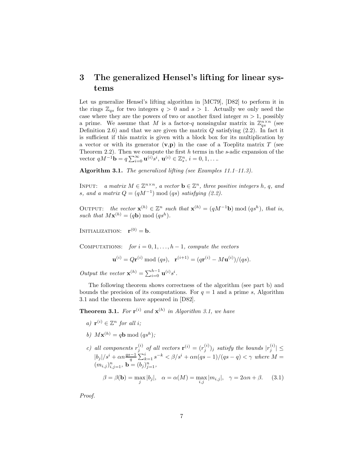## **3 The generalized Hensel's lifting for linear systems**

Let us generalize Hensel's lifting algorithm in [MC79], [D82] to perform it in the rings  $\mathbb{Z}_{qs}$  for two integers  $q > 0$  and  $s > 1$ . Actually we only need the case where they are the powers of two or another fixed integer  $m > 1$ , possibly a prime. We assume that M is a factor-q nonsingular matrix in  $\mathbb{Z}_{qs}^{n\times n}$  (see Definition 2.6) and that we are given the matrix  $Q$  satisfying  $(2.2)$ . In fact it is sufficient if this matrix is given with a block box for its multiplication by a vector or with its generator  $(v, p)$  in the case of a Toeplitz matrix T (see Theorem 2.2). Then we compute the first h terms in the *s*-adic expansion of the vector  $qM^{-1}$ **b** =  $q\sum_{i=0}^{\infty}$ **u**<sup>(*i*)</sup>*s*<sup>*i*</sup>, **u**<sup>(*i*)</sup>  $\in \mathbb{Z}_{s}^{n}$ , *i* = 0, 1, ...

**Algorithm 3.1.** *The generalized lifting (see Examples 11.1–11.3).*

INPUT: *a matrix*  $M \in \mathbb{Z}^{n \times n}$ *, a vector*  $\mathbf{b} \in \mathbb{Z}^n$ *, three positive integers h, q, and s*, and a matrix  $Q = (qM^{-1}) \text{ mod } (qs)$  *satisfying* (2.2).

OUTPUT: *the vector*  $\mathbf{x}^{(h)} \in \mathbb{Z}^n$  *such that*  $\mathbf{x}^{(h)} = (qM^{-1}\mathbf{b}) \bmod (qs^h)$ *, that is,* such that  $M\mathbf{x}^{(h)} = (q\mathbf{b}) \bmod (qs^h)$ .

INITIALIZATION:  $\mathbf{r}^{(0)} = \mathbf{b}$ *.* 

COMPUTATIONS: *for*  $i = 0, 1, \ldots, h - 1$ *, compute the vectors* 

$$
\mathbf{u}^{(i)} = Q\mathbf{r}^{(i)} \bmod (qs), \ \ \mathbf{r}^{(i+1)} = (q\mathbf{r}^{(i)} - M\mathbf{u}^{(i)})/(qs).
$$

*Output the vector*  $\mathbf{x}^{(h)} = \sum_{i=0}^{h-1} \mathbf{u}^{(i)} s^i$ .

The following theorem shows correctness of the algorithm (see part b) and bounds the precision of its computations. For  $q = 1$  and a prime s, Algorithm 3.1 and the theorem have appeared in [D82].

**Theorem 3.1.** For  $\mathbf{r}^{(i)}$  and  $\mathbf{x}^{(h)}$  in Algorithm 3.1, we have

- *a*)  $\mathbf{r}^{(i)} \in \mathbb{Z}^n$  *for all i*;
- *b*)  $M\mathbf{x}^{(h)} = q\mathbf{b} \bmod (qs^h)$ ;
- *c*) all components  $r_j^{(i)}$  of all vectors  $\mathbf{r}^{(i)} = (r_j^{(i)})_j$  satisfy the bounds  $|r_j^{(i)}| \leq$  $|b_j|/s^i + \alpha n \frac{qs-1}{q} \sum_{k=1}^i s^{-k} < \beta/s^i + \alpha n (qs-1)/(qs-q) < \gamma$  where  $M = (m_{i,j})_{i,j=1}^n$ ,  $\mathbf{b} = (b_j)_{j=1}^n$ ,  $\beta = \beta(\mathbf{b}) = \max_{i} |b_{j}|, \quad \alpha = \alpha(M) = \max_{i,j} |m_{i,j}|, \quad \gamma = 2\alpha n + \beta.$  (3.1)

*Proof.*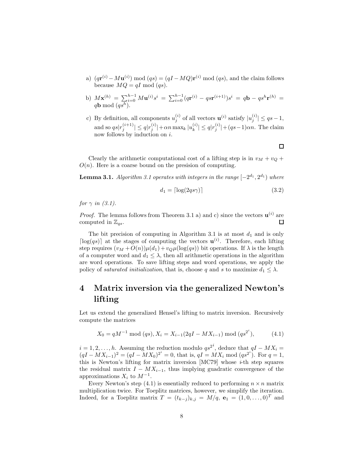- a)  $(q\mathbf{r}^{(i)} M\mathbf{u}^{(i)}) \bmod (qs) = (qI MQ)\mathbf{r}^{(i)} \bmod (qs)$ , and the claim follows because  $MQ = qI \text{ mod } (qs)$ .
- b)  $M\mathbf{x}^{(h)} = \sum_{i=0}^{h-1} M\mathbf{u}^{(i)} s^i = \sum_{i=0}^{h-1} (q\mathbf{r}^{(i)} q\mathbf{s}\mathbf{r}^{(i+1)}) s^i = q\mathbf{b} q\mathbf{s}^h\mathbf{r}^{(h)} = q\mathbf{b} \mod (q\mathbf{s}^h).$
- c) By definition, all components  $u_j^{(i)}$  of all vectors  $\mathbf{u}^{(i)}$  satisfy  $|u_j^{(i)}| \leq qs-1$ , and so  $qs|r_j^{(i+1)}| \leq q|r_j^{(i)}| + \alpha n \max_k |u_k^{(i)}| \leq q|r_j^{(i)}| + (qs-1)\alpha n$ . The claim now follows by induction on *i*.

Clearly the arithmetic computational cost of a lifting step is in  $v_M + v_Q +$  $O(n)$ . Here is a coarse bound on the presision of computing.

**Lemma 3.1.** *Algorithm 3.1 operates with integers in the range*  $[-2^{d_1}, 2^{d_1})$  *where* 

$$
d_1 = \lceil \log(2qs\gamma) \rceil \tag{3.2}
$$

*for*  $\gamma$  *in* (3.1).

*Proof.* The lemma follows from Theorem 3.1 a) and c) since the vectors  $\mathbf{u}^{(i)}$  are computed in  $\mathbb{Z}_{qs}$ .  $\Box$ 

The bit precision of computing in Algorithm 3.1 is at most  $d_1$  and is only [ $log(qs)$ ] at the stages of computing the vectors  $\mathbf{u}^{(i)}$ . Therefore, each lifting step requires  $(v_M + O(n))\mu(d_1) + v_Q\mu(\log(qs))$  bit operations. If  $\lambda$  is the length of a computer word and  $d_1 \leq \lambda$ , then all arithmetic operations in the algorithm are word operations. To save lifting steps and word operations, we apply the policy of *saturated initialization*, that is, choose q and s to maximize  $d_1 \leq \lambda$ .

## **4 Matrix inversion via the generalized Newton's lifting**

Let us extend the generalized Hensel's lifting to matrix inversion. Recursively compute the matrices

$$
X_0 = qM^{-1} \bmod (qs), X_i = X_{i-1}(2qI - MX_{i-1}) \bmod (qs^{2^i}), \tag{4.1}
$$

 $i = 1, 2, \ldots, h$ . Assuming the reduction modulo  $qs^{2i}$ , deduce that  $qI - MX_i =$  $(qI - MX_{i-1})^2 = (qI - MX_0)^2^i = 0$ , that is,  $qI = MX_i \text{ mod } (qs^2)^i$ . For  $q = 1$ , this is Northern's lifting for matrix inversion [MC70] whose *i*th stap squares this is Newton's lifting for matrix inversion [MC79] whose *i*-th step squares the residual matrix  $I - MX_{i-1}$ , thus implying guadratic convergence of the approximations  $X_i$  to  $M^{-1}$ .

Every Newton's step (4.1) is essentially reduced to performing  $n \times n$  matrix multiplication twice. For Toeplitz matrices, however, we simplify the iteration. Indeed, for a Toeplitz matrix  $T = (t_{k-j})_{k,j} = M/q$ ,  $\mathbf{e}_1 = (1, 0, \ldots, 0)^T$  and

 $\Box$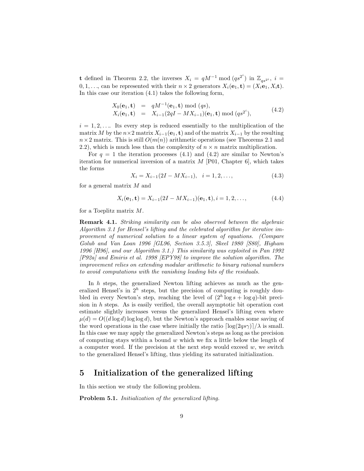**t** defined in Theorem 2.2, the inverses  $X_i = qM^{-1} \text{ mod } (qs^{2^i})$  in  $\mathbb{Z}_{qs^{2^i}}$ ,  $i =$  $0, 1, \ldots$  can be represented with their  $n \times 2$  generators  $X_i(\mathbf{e}_1, \mathbf{t})=(X_i \mathbf{e}_1, X_i \mathbf{t}).$ In this case our iteration (4.1) takes the following form,

$$
X_0(\mathbf{e}_1, \mathbf{t}) = qM^{-1}(\mathbf{e}_1, \mathbf{t}) \bmod (qs),
$$
  
\n
$$
X_i(\mathbf{e}_1, \mathbf{t}) = X_{i-1}(2qI - MX_{i-1})(\mathbf{e}_1, \mathbf{t}) \bmod (qs^{2^i}),
$$
\n(4.2)

 $i = 1, 2, \ldots$  Its every step is reduced essentially to the multiplication of the matrix M by the  $n \times 2$  matrix  $X_{i-1}(e_1, t)$  and of the matrix  $X_{i-1}$  by the resulting  $n \times 2$  matrix. This is still  $O(m(n))$  arithmetic operations (see Theorems 2.1 and 2.2), which is much less than the complexity of  $n \times n$  matrix multiplication.

For  $q = 1$  the iteration processes (4.1) and (4.2) are similar to Newton's iteration for numerical inversion of a matrix  $M$  [P01, Chapter 6], which takes the forms

$$
X_i = X_{i-1}(2I - MX_{i-1}), \quad i = 1, 2, \dots,
$$
\n
$$
(4.3)
$$

for a general matrix  $M$  and

$$
X_i(\mathbf{e}_1, \mathbf{t}) = X_{i-1}(2I - MX_{i-1})(\mathbf{e}_1, \mathbf{t}), i = 1, 2, ..., \tag{4.4}
$$

for a Toeplitz matrix M.

**Remark 4.1.** *Striking similarity can be also observed between the algebraic Algorithm 3.1 for Hensel's lifting and the celebrated algorithm for iterative improvement of numerical solution to a linear system of equations. (Compare Golub and Van Loan 1996 [GL96, Section 3.5.3], Skeel 1980 [S80], Higham 1996 [H96], and our Algorithm 3.1.) This similarity was exploited in Pan 1992 [P92a] and Emiris et al. 1998 [EPY98] to improve the solution algorithm. The improvement relies on extending modular arithmetic to binary rational numbers to avoid computations with the vanishing leading bits of the residuals.*

In  $h$  steps, the generalized Newton lifting achieves as much as the generalized Hensel's in  $2^h$  steps, but the precision of computing is roughly doubled in every Newton's step, reaching the level of  $(2<sup>h</sup> \log s + \log q)$ -bit precision in h steps. As is easily verified, the overall asymptotic bit operation cost estimate slightly increases versus the generalized Hensel's lifting even where  $\mu(d) = O((d \log d) \log \log d)$ , but the Newton's approach enables some saving of the word operations in the case where initially the ratio  $\lceil \log(2qs\gamma) \rceil / \lambda$  is small. In this case we may apply the generalized Newton's steps as long as the precision of computing stays within a bound  $w$  which we fix a little below the length of a computer word. If the precision at the next step would exceed  $w$ , we switch to the generalized Hensel's lifting, thus yielding its saturated initialization.

## **5 Initialization of the generalized lifting**

In this section we study the following problem.

**Problem 5.1.** *Initialization of the generalized lifting.*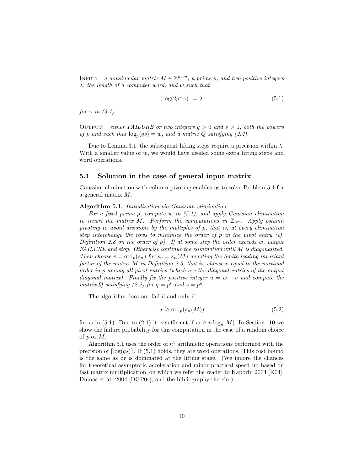INPUT: *a nonsingular matrix*  $M \in \mathbb{Z}^{n \times n}$ , *a prime p, and two positive integers* λ*, the length of a computer word, and* w *such that*

$$
\lceil \log(2p^w \gamma) \rceil = \lambda \tag{5.1}
$$

*for*  $\gamma$  *in* (3.1).

OUTPUT: *either FAILURE or two integers*  $q > 0$  and  $s > 1$ , both the powers *of* p and such that  $log_p(qs) = w$ , and a matrix Q satisfying (2.2).

Due to Lemma 3.1, the subsequent lifting steps require a precision within  $\lambda$ . With a smaller value of  $w$ , we would have needed some extra lifting steps and word operations.

#### **5.1 Solution in the case of general input matrix**

Gaussian elimination with column pivoting enables us to solve Problem 5.1 for a general matrix M.

#### **Algorithm 5.1.** *Initialization via Gaussian elimination.*

*For a fixed prime* p*, compute* w *in (5.1), and apply Gaussian elimination to invert the matrix* M. Perform the computations in  $\mathbb{Z}_{p^w}$ . Apply column *pivoting to avoid divisions by the multiples of* p*, that is, at every elimination step interchange the rows to minimize the order of* p *in the pivot entry (cf. Definition 2.8 on the order of* p*). If at some step the order exceeds* w*, output FAILURE and stop. Otherwise continue the elimination until* M *is diagonalized. Then choose*  $v = \text{ord}_p(s_n)$  *for*  $s_n = s_n(M)$  *denoting the Smith leading invariant factor of the matrix* M *in Definition 2.5, that is, choose* v *equal to the maximal order in* p *among all pivot entries (which are the diagonal entries of the output diagonal matrix). Finally fix the positive integer*  $u = w - v$  *and compute the matrix* Q *satisfying* (2.2) for  $q = p^v$  *and*  $s = p^u$ .

The algorithm does not fail if and only if

$$
w \ge \text{ord}_p(s_n(M))\tag{5.2}
$$

for w in (5.1). Due to (2.1) it is sufficient if  $w \ge n \log_p |M|$ . In Section 10 we show the failure probability for this computation in the case of a random choice of p or M.

Algorithm 5.1 uses the order of  $n^3$  arithmetic operations performed with the precision of  $\lceil \log(gs) \rceil$ . If (5.1) holds, they are word operations. This cost bound is the same as or is dominated at the lifting stage. (We ignore the chances for theoretical asymptotic acceleration and minor practical speed up based on fast matrix multiplication, on which we refer the reader to Kaporin 2004 [K04], Dumas et al. 2004 [DGP04], and the bibliography therein.)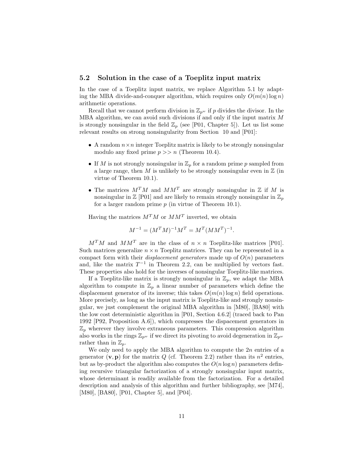#### **5.2 Solution in the case of a Toeplitz input matrix**

In the case of a Toeplitz input matrix, we replace Algorithm 5.1 by adapting the MBA divide-and-conquer algorithm, which requires only  $O(m(n) \log n)$ arithmetic operations.

Recall that we cannot perform division in  $\mathbb{Z}_{p^w}$  if p divides the divisor. In the MBA algorithm, we can avoid such divisions if and only if the input matrix M is strongly nonsingular in the field  $\mathbb{Z}_p$  (see [P01, Chapter 5]). Let us list some relevant results on strong nonsingularity from Section 10 and [P01]:

- A random  $n \times n$  integer Toeplitz matrix is likely to be strongly nonsingular modulo any fixed prime  $p \gg n$  (Theorem 10.4).
- If M is not strongly nonsingular in  $\mathbb{Z}_p$  for a random prime p sampled from a large range, then M is unlikely to be strongly nonsingular even in  $\mathbb Z$  (in virtue of Theorem 10.1).
- The matrices  $M^{T}M$  and  $MM^{T}$  are strongly nonsingular in  $\mathbb Z$  if M is nonsingular in  $\mathbb{Z}$  [P01] and are likely to remain strongly nonsingular in  $\mathbb{Z}_n$ for a larger random prime  $p$  (in virtue of Theorem 10.1).

Having the matrices  $M^T M$  or  $M M^T$  inverted, we obtain

$$
M^{-1} = (M^T M)^{-1} M^T = M^T (M M^T)^{-1}.
$$

 $M^T M$  and  $M M^T$  are in the class of  $n \times n$  Toeplitz-like matrices [P01]. Such matrices generalize  $n \times n$  Toeplitz matrices. They can be represented in a compact form with their *displacement generators* made up of  $O(n)$  parameters and, like the matrix  $T^{-1}$  in Theorem 2.2, can be multiplied by vectors fast. These properties also hold for the inverses of nonsingular Toeplitz-like matrices.

If a Toeplitz-like matrix is strongly nonsingular in  $\mathbb{Z}_p$ , we adapt the MBA algorithm to compute in  $\mathbb{Z}_p$  a linear number of parameters which define the displacement generator of its inverse; this takes  $O(m(n) \log n)$  field operations. More precisely, as long as the input matrix is Toeplitz-like and strongly nonsingular, we just complement the original MBA algorithm in [M80], [BA80] with the low cost deterministic algorithm in [P01, Section 4.6.2] (traced back to Pan 1992 [P92, Proposition A.6]), which compresses the dispacement generators in  $\mathbb{Z}_p$  wherever they involve extraneous parameters. This compression algorithm also works in the rings  $\mathbb{Z}_{p^w}$  if we direct its pivoting to avoid degeneration in  $\mathbb{Z}_{p^w}$ rather than in  $\mathbb{Z}_p$ .

We only need to apply the MBA algorithm to compute the  $2n$  entries of a generator  $(v, p)$  for the matrix Q (cf. Theorem 2.2) rather than its  $n^2$  entries, but as by-product the algorithm also computes the  $O(n \log n)$  parameters defining recursive triangular factorization of a strongly nonsingular input matrix, whose determinant is readily available from the factorization. For a detailed description and analysis of this algorithm and further bibliography, see [M74], [M80], [BA80], [P01, Chapter 5], and [P04].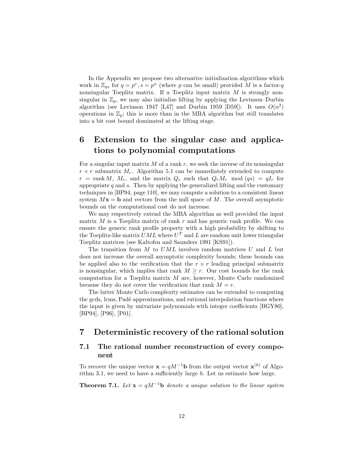In the Appendix we propose two alternative initialization algorithms which work in  $\mathbb{Z}_{qs}$  for  $q = p^v$ ,  $s = p^u$  (where p can be small) provided M is a factor-q nonsingular Toeplitz matrix. If a Toeplitz input matrix  $M$  is strongly nonsingular in  $\mathbb{Z}_p$ , we may also initialize lifting by applying the Levinson–Durbin algorithm (see Levinson 1947 [L47] and Durbin 1959 [D59]). It uses  $O(n^2)$ operations in  $\mathbb{Z}_p$ ; this is more than in the MBA algorithm but still translates into a bit cost bound dominated at the lifting stage.

## **6 Extension to the singular case and applications to polynomial computations**

For a singular input matrix  $M$  of a rank  $r$ , we seek the inverse of its nonsingular  $r \times r$  submatrix  $M_r$ . Algorithm 5.1 can be immediately extended to compute  $r = \text{rank } M$ ,  $M_r$ , and the matrix  $Q_r$  such that  $Q_r M_r \mod (qs) = qI_r$  for appropriate  $q$  and  $s$ . Then by applying the generalized lifting and the customary techniques in [BP94, page 110], we may compute a solution to a consistent linear system  $Mx = b$  and vectors from the null space of M. The overall asymptotic bounds on the computational cost do not increase.

We may respectively extend the MBA algorithm as well provided the input matrix  $M$  is a Toeplitz matrix of rank  $r$  and has generic rank profile. We can ensure the generic rank profile property with a high probability by shifting to the Toeplitz-like matrix  $UML$  where  $U<sup>T</sup>$  and L are random unit lower triangular Toeplitz matrices (see Kaltofen and Saunders 1991 [KS91]).

The transition from  $M$  to  $UML$  involves random matrices  $U$  and  $L$  but does not increase the overall asymptotic complexity bounds; these bounds can be applied also to the verification that the  $r \times r$  leading principal submatrix is nonsingular, which implies that rank  $M \geq r$ . Our cost bounds for the rank computation for a Toeplitz matrix M are, however, Monte Carlo randomized because they do not cover the verification that rank  $M = r$ .

The latter Monte Carlo complexity estimates can be extended to computing the gcds, lcms, Padé approximations, and rational interpolation functions where the input is given by univariate polynomials with integer coefficients [BGY80], [BP94], [P96], [P01].

## **7 Deterministic recovery of the rational solution**

## **7.1 The rational number reconstruction of every component**

To recover the unique vector  $\mathbf{x} = qM^{-1}\mathbf{b}$  from the output vector  $\mathbf{x}^{(h)}$  of Algorithm 3.1, we need to have a sufficiently large  $h$ . Let us estimate how large.

**Theorem 7.1.** *Let*  $\mathbf{x} = qM^{-1}\mathbf{b}$  *denote a unique solution to the linear system*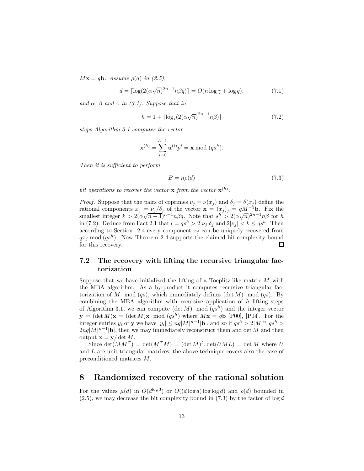$M$ **x** = *q***b***. Assume*  $\rho(d)$  *in* (2.5),

$$
d = \lceil \log(2(\alpha \sqrt{n})^{2n-1} n \beta q) \rceil = O(n \log \gamma + \log q),\tag{7.1}
$$

*and*  $\alpha$ ,  $\beta$  *and*  $\gamma$  *in (3.1). Suppose that in* 

$$
h = 1 + \lfloor \log_s \left( 2(\alpha \sqrt{n})^{2n-1} n \beta \right) \rfloor \tag{7.2}
$$

*steps Algorithm 3.1 computes the vector*

$$
\mathbf{x}^{(h)} = \sum_{i=0}^{h-1} \mathbf{u}^{(i)} p^i = \mathbf{x} \bmod (q s^h).
$$

*Then it is sufficient to perform*

$$
B = n\rho(d) \tag{7.3}
$$

*bit operations to recover the vector* **x** *from the vector*  $\mathbf{x}^{(h)}$ *.* 

*Proof.* Suppose that the pairs of coprimes  $\nu_j = \nu(x_j)$  and  $\delta_j = \delta(x_j)$  define the rational components  $x_j = \nu_j/\delta_j$  of the vector  $\mathbf{x} = (x_j)_j = qM^{-1}\mathbf{b}$ . Fix the Fational components  $x_j = \nu_j / \sigma_j$  of the vector  $\mathbf{x} = (x_j)_j = qM$  **b.** Fix the smallest integer  $k > 2(\alpha\sqrt{n-1})^{n-1}n\beta q$ . Note that  $s^h > 2(\alpha\sqrt{n})^{2n-1}n\beta$  for h in (7.2). Deduce from Fact 2.1 that  $l = qs^h > 2|\nu_j|\delta_j$  and  $2|\nu_j| < k \leq qs^h$ . Then according to Section 2.4 every component  $x_j$  can be uniquely recovered from  $qx_j \mod (qs^h)$ . Now Theorem 2.4 supports the claimed bit complexity bound for this recovery.  $\Box$ 

## **7.2 The recovery with lifting the recursive triangular factorization**

Suppose that we have initialized the lifting of a Toeplitz-like matrix  $M$  with the MBA algorithm. As a by-product it computes recursive triangular factorization of M mod  $(qs)$ , which immediately defines  $(\det M) \mod (qs)$ . By combining the MBA algorithm with recursive application of  $h$  lifting steps of Algorithm 3.1, we can compute  $(\det M) \mod (qs^h)$  and the integer vector  $\mathbf{y} = (\det M)\mathbf{x} = (\det M)\mathbf{x} \mod (qs^h)$  where  $M\mathbf{x} = q\mathbf{b}$  [P00], [P04]. For the integer entries  $y_i$  of **y** we have  $|y_i| \le nq |M|^{n-1}$  **b**, and so if  $qs^h > 2|M|^n, qs^h >$  $2nq|M|^{n-1}|\mathbf{b}|$ , then we may immediately reconstruct them and det M and then output  $\mathbf{x} = \mathbf{y}/\det M$ .

Since  $\det(MM^T) = \det(M^T M) = (\det M)^2, \det(UML) = \det M$  where U and L are unit triangular matrices, the above technique covers also the case of preconditioned matrices M.

## **8 Randomized recovery of the rational solution**

For the values  $\mu(d)$  in  $O(d^{\log 3})$  or  $O((d \log d) \log \log d)$  and  $\rho(d)$  bounded in  $(2.5)$ , we may decrease the bit complexity bound in  $(7.3)$  by the factor of log d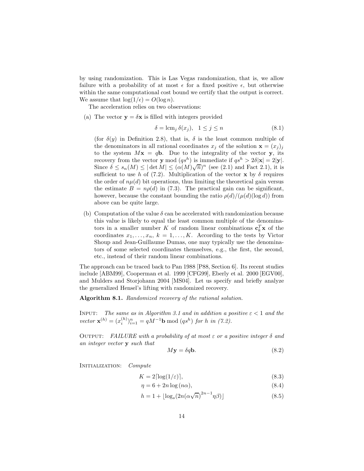by using randomization. This is Las Vegas randomization, that is, we allow failure with a probability of at most  $\epsilon$  for a fixed positive  $\epsilon$ , but otherwise within the same computational cost bound we certify that the output is correct. We assume that  $\log(1/\epsilon) = O(\log n)$ .

The acceleration relies on two observations:

(a) The vector  $y = \delta x$  is filled with integers provided

$$
\delta = \operatorname{lcm}_j \delta(x_j), \quad 1 \le j \le n \tag{8.1}
$$

(for  $\delta(y)$  in Definition 2.8), that is,  $\delta$  is the least common multiple of the denominators in all rational coordinates  $x_j$  of the solution  $\mathbf{x} = (x_j)_j$ to the system  $Mx = qb$ . Due to the integrality of the vector **y**, its recovery from the vector **y** mod  $(qs^h)$  is immediate if  $qs^h > 2\delta |\mathbf{x}| = 2|\mathbf{y}|$ . Since  $\delta \leq s_n(M) \leq |\det M| \leq (\alpha(M)\sqrt{n})^n$  (see (2.1) and Fact 2.1), it is sufficient to use h of (7.2). Multiplication of the vector **x** by  $\delta$  requires the order of  $n\mu(d)$  bit operations, thus limiting the theoretical gain versus the estimate  $B = n\rho(d)$  in (7.3). The practical gain can be significant, however, because the constant bounding the ratio  $\rho(d)/(\mu(d)(\log d))$  from above can be quite large.

(b) Computation of the value  $\delta$  can be accelerated with randomization because this value is likely to equal the least common multiple of the denominators in a smaller number K of random linear combinations  $\mathbf{c}_k^T \mathbf{x}$  of the coordinates  $x_1, \ldots, x_n, k = 1, \ldots, K$ . According to the tests by Victor Shoup and Jean-Guillaume Dumas, one may typically use the denominators of some selected coordinates themselves, e.g., the first, the second, etc., instead of their random linear combinations.

The approach can be traced back to Pan 1988 [P88, Section 6]. Its recent studies include [ABM99], Cooperman et al. 1999 [CFG99], Eberly et al. 2000 [EGV00], and Mulders and Storjohann 2004 [MS04]. Let us specify and briefly analyze the generalized Hensel's lifting with randomized recovery.

**Algorithm 8.1.** *Randomized recovery of the rational solution.*

INPUT: *The same as in Algorithm 3.1 and in addition a positive*  $\varepsilon < 1$  *and the vector*  $\mathbf{x}^{(h)} = (x_i^{(h)})_{i=1}^n = qM^{-1}\mathbf{b} \bmod (qs^h)$  *for h in* (7.2).

Output: *FAILURE with a probability of at most* ε *or a positive integer* δ *and an integer vector* **y** *such that*

$$
M\mathbf{y} = \delta q \mathbf{b}.\tag{8.2}
$$

Initialization: *Compute*

$$
K = 2\lceil \log(1/\varepsilon) \rceil,\tag{8.3}
$$

$$
\eta = 6 + 2n \log(n\alpha),\tag{8.4}
$$

$$
h = 1 + \lfloor \log_s(2n(\alpha\sqrt{n})^{2n-1}\eta\beta) \rfloor \tag{8.5}
$$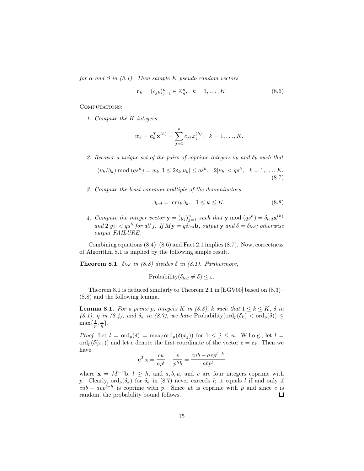*for*  $\alpha$  *and*  $\beta$  *in* (3.1). Then sample K pseudo random vectors

$$
\mathbf{c}_k = (c_{jk})_{j=1}^n \in \mathbb{Z}_\eta^n, \ \ k = 1, \dots, K. \tag{8.6}
$$

COMPUTATIONS:

*1. Compute the* K *integers*

$$
w_k = \mathbf{c}_k^T \mathbf{x}^{(h)} = \sum_{j=1}^n c_{jk} x_j^{(h)}, \quad k = 1, ..., K.
$$

2. Recover a unique set of the pairs of coprime integers  $\nu_k$  and  $\delta_k$  such that

$$
(\nu_k/\delta_k) \bmod (qs^h) = w_k, 1 \le 2\delta_k |\nu_k| \le qs^h, \quad 2|\nu_k| < qs^h, \quad k = 1, \dots, K. \tag{8.7}
$$

*3. Compute the least common multiple of the denominators*

$$
\delta_{lcd} = \operatorname{lcm}_k \delta_k, \quad 1 \le k \le K. \tag{8.8}
$$

4. Compute the integer vector  $\mathbf{y} = (y_j)_{j=1}^n$  such that  $\mathbf{y} \mod (q^{sh}) = \delta_{lcd} \mathbf{x}^{(h)}$  $\langle \text{and } 2 | y_j | \leq q s^h \text{ for all } j.$  If  $M y = q \delta_{l c d} b$ ,  $\langle \text{output } y \text{ and } \delta = \delta_{l c d}$ ; otherwise *output FAILURE.*

Combining equations  $(8.4)$ – $(8.6)$  and Fact 2.1 implies  $(8.7)$ . Now, correctness of Algorithm 8.1 is implied by the following simple result.

**Theorem 8.1.**  $\delta_{lcd}$  *in (8.8) divides*  $\delta$  *in (8.1). Furthermore,* 

Probability( $\delta_{lcd} \neq \delta$ )  $\leq \varepsilon$ .

Theorem 8.1 is deduced similarly to Theorem 2.1 in [EGV00] based on (8.3)– (8.8) and the following lemma.

**Lemma 8.1.** *For a prime p, integers* K *in (8.3),* k *such that*  $1 \leq k \leq K$ ,  $\delta$  *in*  $(8.1), \eta$  *in*  $(8.4),$  and  $\delta_k$  *in*  $(8.7),$  *we have* Probability( $\text{ord}_p(\delta_k) < \text{ord}_p(\delta)$ )  $\leq$  $\max\{\frac{1}{p},\frac{1}{\eta}\}.$ 

*Proof.* Let  $l = \text{ord}_p(\delta) = \max_j \text{ord}_p(\delta(x_j))$  for  $1 \leq j \leq n$ . W.l.o.g., let  $l =$ ord<sub>p</sub>( $\delta(x_1)$ ) and let c denote the first coordinate of the vector **c** = **c**<sub>k</sub>. Then we have

$$
\mathbf{c}^T \mathbf{x} = \frac{cu}{ap^l} - \frac{v}{p^h b} = \frac{cub - avp^{l-h}}{abp^l}
$$

where  $\mathbf{x} = M^{-1}\mathbf{b}, l \geq h$ , and a, b, u, and v are four integers coprime with p. Clearly,  $\text{ord}_p(\delta_k)$  for  $\delta_k$  in (8.7) never exceeds l; it equals l if and only if  $cub - avp^{l-h}$  is coprime with p. Since ub is coprime with p and since c is random, the probability bound follows.  $\Box$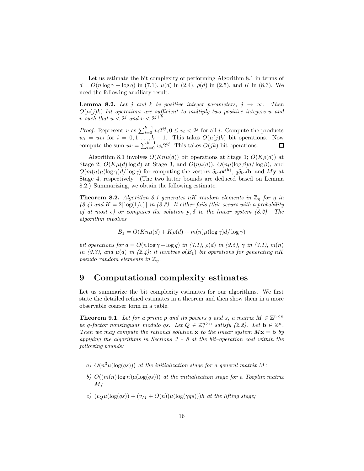Let us estimate the bit complexity of performing Algorithm 8.1 in terms of  $d = O(n \log \gamma + \log q)$  in (7.1),  $\mu(d)$  in (2.4),  $\rho(d)$  in (2.5), and K in (8.3). We need the following auxiliary result.

**Lemma 8.2.** *Let j and k be positive integer parameters,*  $j \rightarrow \infty$ *. Then*  $O(\mu(j)k)$  *bit operations are sufficient to multiply two positive integers* u and v such that  $u < 2<sup>j</sup>$  and  $v < 2<sup>j+k</sup>$ .

*Proof.* Represent v as  $\sum_{i=0}^{k-1} v_i 2^{ij}$ ,  $0 \le v_i < 2^j$  for all i. Compute the products  $w_i = uv_i$  for  $i = 0, 1, ..., k - 1$ . This takes  $O(\mu(j)k)$  bit operations. Now compute the sum  $uv = \sum_{i=0}^{k-1} w_i 2^{ij}$ . This takes  $O(jk)$  bit operations.

Algorithm 8.1 involves  $O(Kn\mu(d))$  bit operations at Stage 1;  $O(K\rho(d))$  at Stage 2;  $O(K\mu(d) \log d)$  at Stage 3, and  $O(n\mu(d))$ ,  $O(n\mu(\log \beta)d/\log \beta)$ , and  $O(m(n)\mu(\log \gamma)d/\log \gamma)$  for computing the vectors  $\delta_{lcd}(\mathbf{x}^{(h)}, \phi_{lcd}(\mathbf{b}), \text{ and } My$  at Stage 4, respectively. (The two latter bounds are deduced based on Lemma 8.2.) Summarizing, we obtain the following estimate.

**Theorem 8.2.** *Algorithm 8.1 generates* nK *random elements* in  $\mathbb{Z}_n$  *for*  $\eta$  *in*  $(8.4)$  and  $K = 2 \lceil \log(1/\epsilon) \rceil$  *in (8.3). It either fails (this occurs with a probability of at most*  $\epsilon$ ) or computes the solution **y**,  $\delta$  *to the linear system (8.2). The algorithm involves*

$$
B_1 = O(Kn\mu(d) + K\rho(d) + m(n)\mu(\log \gamma)d/\log \gamma)
$$

*bit operations for*  $d = O(n \log \gamma + \log q)$  *in (7.1),*  $\rho(d)$  *in (2.5),*  $\gamma$  *in (3.1),*  $m(n)$ *in (2.3), and*  $\mu(d)$  *in (2.4); it involves*  $o(B_1)$  *bit operations for generating* nK *pseudo random elements in*  $\mathbb{Z}_n$ *.* 

## **9 Computational complexity estimates**

Let us summarize the bit complexity estimates for our algorithms. We first state the detailed refined estimates in a theorem and then show them in a more observable coarser form in a table.

**Theorem 9.1.** *Let for a prime p and its powers* q and s, a matrix  $M \in \mathbb{Z}^{n \times n}$ *be* q-factor nonsingular modulo qs. Let  $Q \in \mathbb{Z}_s^{n \times n}$  satisfy (2.2). Let  $\mathbf{b} \in \mathbb{Z}^n$ . *Then we may compute the rational solution* **x** *to the linear system*  $M$ **x** = **b** *by applying the algorithms in Sections 3 – 8 at the bit–operation cost within the following bounds:*

- *a)*  $O(n^3 \mu(\log(qs)))$  *at the initialization stage for a general matrix M*;
- *b)*  $O((m(n) \log n) \mu(\log(qs)))$  *at the initialization stage for a Toeplitz matrix* M*;*
- *c)*  $(v<sub>Q</sub>\mu(\log(qs)) + (v<sub>M</sub> + O(n))\mu(\log(\gamma qs)))$ *h at the lifting stage*;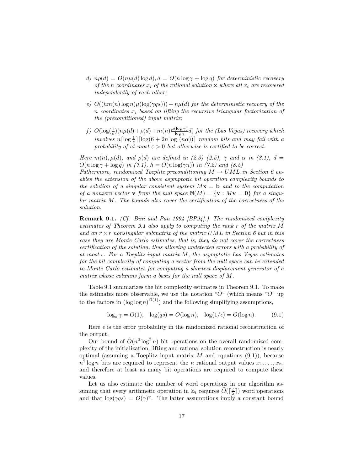- *d)*  $n\rho(d) = O(n\mu(d) \log d), d = O(n \log \gamma + \log q)$  *for deterministic recovery of the n coordinates*  $x_i$  *of the rational solution* **x** *where all*  $x_i$  *are recovered independently of each other;*
- *e)*  $O((hm(n)\log n)\mu(\log(\gamma qs))) + n\mu(d)$  *for the deterministic recovery of the* n *coordinates* x<sup>i</sup> *based on lifting the recursive triangular factorization of the (preconditioned) input matrix;*
- *f)*  $O(\log(\frac{1}{\epsilon})(n\mu(d) + \rho(d) + m(n)\frac{\mu(\log \gamma)}{\log \gamma})$  *for the (Las Vegas) recovery which*  $involves \ n \lceil \log \frac{1}{\varepsilon} \rceil \lceil \log(6 + 2n \log \ (n \alpha) \rceil \rceil \ random \ bits \ and \ may \ fail \ with \ a$ *probability of at most*  $\varepsilon > 0$  *but otherwise is certified to be correct.*

*Here*  $m(n)$ ,  $\mu(d)$ *, and*  $\rho(d)$  *are defined in* (2.3)–(2.5),  $\gamma$  *and*  $\alpha$  *in* (3.1),  $d =$  $O(n \log \gamma + \log q)$  *in (7.1),*  $h = O(n \log(\gamma n))$  *in (7.2)* and (8.5)

*Futhermore, randomized Toeplitz preconditioning* M → UML *in Section 6 enables the extension of the above asymptotic bit operation complexity bounds to the solution of a singular consistent system* M**x** = **b** *and to the computation of a nonzero vector* **v** *from the null space*  $\mathbb{N}(M) = {\mathbf{v} : M\mathbf{v} = \mathbf{0}}$  *for a singular matrix* M*. The bounds also cover the certification of the correctness of the solution.*

**Remark 9.1.** *(Cf. Bini and Pan 1994 [BP94].) The randomized complexity estimates of Theorem 9.1 also apply to computing the rank* r *of the matrix* M *and an* r × r *nonsingular submatrix of the matrix* UML *in Section 6 but in this case they are Monte Carlo estimates, that is, they do not cover the correctness certification of the solution, thus allowing undetected errors with a probability of at most . For a Toeplitz input matrix* M*, the asymptotic Las Vegas estimates for the bit complexity of computing a vector from the null space can be extended to Monte Carlo estimates for computing a shortest displacement generator of a matrix whose columns form a basis for the null space of* M*.*

Table 9.1 summarizes the bit complexity estimates in Theorem 9.1. To make the estimates more observable, we use the notation " $\tilde{O}$ " (which means " $O$ " up to the factors in  $(\log \log n)^{O(1)}$  and the following simplifying assumptions,

$$
\log_s \gamma = O(1), \quad \log(qs) = O(\log n), \quad \log(1/\epsilon) = O(\log n). \tag{9.1}
$$

Here  $\epsilon$  is the error probability in the randomized rational reconstruction of the output.

Our bound of  $\tilde{O}(n^2 \log^2 n)$  bit operations on the overall randomized complexity of the initialization, lifting and rational solution reconstruction is nearly optimal (assuming a Toeplitz input matrix  $M$  and equations  $(9.1)$ ), because  $n^2 \log n$  bits are required to represent the *n* rational output values  $x_1, \ldots, x_n$ , and therefore at least as many bit operations are required to compute these values.

Let us also estimate the number of word operations in our algorithm assuming that every arithmetic operation in  $\mathbb{Z}_t$  requires  $\tilde{O}(\lceil \frac{t}{\lambda} \rceil)$  word operations and that  $\log(\gamma qs) = O(\gamma)^v$ . The latter assumptions imply a constant bound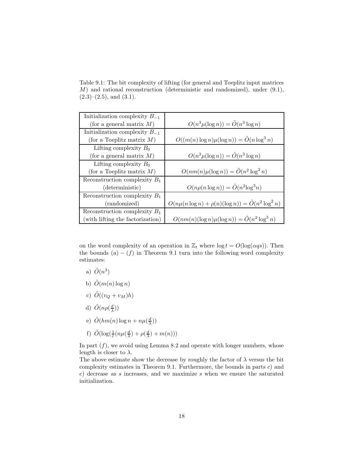Table 9.1: The bit complexity of lifting (for general and Toeplitz input matrices M) and rational reconstruction (deterministic and randomized), under (9.1),  $(2.3)$ – $(2.5)$ , and  $(3.1)$ .

| Initialization complexity $B_{-1}$ |                                                           |
|------------------------------------|-----------------------------------------------------------|
| (for a general matrix $M$ )        | $O(n^3 \mu(\log n)) = \tilde{O}(n^3 \log n)$              |
| Initialization complexity $B_{-1}$ |                                                           |
| (for a Toeplitz matrix $M$ )       | $O((m(n)\log n)\mu(\log n)) = \tilde{O}(n\log^3 n)$       |
| Lifting complexity $B_0$           |                                                           |
| (for a general matrix $M$ )        | $O(n^3\mu(\log n)) = \tilde{O}(n^3 \log n)$               |
| Lifting complexity $B_0$           |                                                           |
| (for a Toeplitz matrix $M$ )       | $O(nm(n)\mu(\log n)) = \tilde{O}(n^2 \log^2 n)$           |
| Reconstruction complexity $B_1$    |                                                           |
| (deterministic)                    | $O(n\rho(n\log n)) = \tilde{O}(n^2\log^3 n)$              |
| Reconstruction complexity $B_1$    |                                                           |
| (randomized)                       | $O(n\mu(n\log n)+\rho(n)(\log n))=\tilde{O}(n^2\log^2 n)$ |
| Reconstruction complexity $B_1$    |                                                           |
| (with lifting the factorization)   | $O(nm(n)(\log n)\mu(\log n)) = \tilde{O}(n^2\log^3 n)$    |

on the word complexity of an operation in  $\mathbb{Z}_t$  where  $\log t = O(\log(\alpha qs))$ . Then the bounds  $(a) - (f)$  in Theorem 9.1 turn into the following word complexity estimates:

- a)  $\tilde{O}(n^3)$
- b)  $\tilde{O}(m(n) \log n)$
- c)  $\tilde{O}((v_Q + v_M)h)$
- d)  $\tilde{O}(n\rho(\frac{d}{\lambda}))$
- e)  $\tilde{O}(hm(n)\log n + n\mu(\frac{d}{\lambda}))$
- f)  $\tilde{O}(\log(\frac{1}{\varepsilon}(n\mu(\frac{d}{\lambda})+\rho(\frac{d}{\lambda})+m(n)))$

In part  $(f)$ , we avoid using Lemma 8.2 and operate with longer numbers, whose length is closer to  $\lambda$ .

The above estimate show the decrease by roughly the factor of  $\lambda$  versus the bit complexity estimates in Theorem 9.1. Furthermore, the bounds in parts  $c$ ) and e) decrease as s increases, and we maximize s when we ensure the saturated initialization.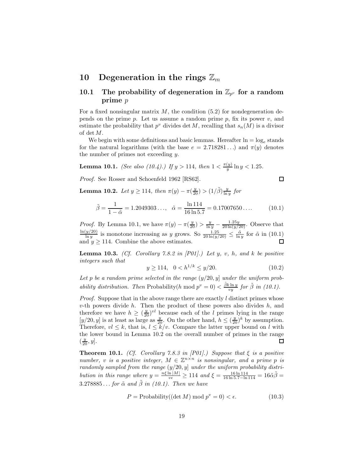### **10** Degeneration in the rings  $\mathbb{Z}_m$

## **10.1** The probability of degeneration in  $\mathbb{Z}_{p^v}$  for a random **prime** *p*

For a fixed nonsingular matrix  $M$ , the condition (5.2) for nondegeneration depends on the prime p. Let us assume a random prime p, fix its power  $v$ , and estimate the probability that  $p^v$  divides det M, recalling that  $s_n(M)$  is a divisor of det M.

We begin with some definitions and basic lemmas. Hereafter  $\ln = \log_e$  stands for the natural logarithms (with the base  $e = 2.718281...$ ) and  $\pi(y)$  denotes the number of primes not exceeding y.

**Lemma 10.1.** *(See also (10.4).)* If  $y > 114$ *, then*  $1 < \frac{\pi(y)}{y} \ln y < 1.25$ *.* 

*Proof.* See Rosser and Schoenfeld 1962 [RS62].

 $\Box$ 

**Lemma 10.2.** *Let*  $y \ge 114$ *, then*  $\pi(y) - \pi(\frac{y}{20}) > (1/\tilde{\beta}) \frac{y}{\ln y}$  *for* 

$$
\tilde{\beta} = \frac{1}{1 - \tilde{\alpha}} = 1.2049303..., \quad \tilde{\alpha} = \frac{\ln 114}{16 \ln 5.7} = 0.17007650.... \tag{10.1}
$$

*Proof.* By Lemma 10.1, we have  $\pi(y) - \pi(\frac{y}{20}) > \frac{y}{\ln y} - \frac{1.25y}{20 \ln(y/20)}$ . Observe that  $\frac{\ln(y/20)}{\ln y}$  is monotone increasing as y grows. So  $\frac{1.25}{20 \ln(y/20)} \le \frac{\tilde{\alpha}}{\ln y}$  for  $\tilde{\alpha}$  in (10.1) and  $y \ge 114$ . Co

**Lemma 10.3.** *(Cf. Corollary 7.8.2 in [P01].) Let* y*,* v*,* h*, and* k *be positive integers such that*

$$
y \ge 114, \quad 0 < h^{1/k} \le y/20. \tag{10.2}
$$

Let p be a random prime selected in the range  $(y/20, y]$  under the uniform prob*ability distribution. Then* Probability(h mod  $p^v = 0$ )  $\lt \frac{\beta k \ln y}{vy}$  for  $\tilde{\beta}$  in (10.1).

*Proof.* Suppose that in the above range there are exactly  $l$  distinct primes whose v-th powers divide h. Then the product of these powers also divides h, and therefore we have  $h \ge (\frac{y}{20})^{vl}$  because each of the *l* primes lying in the range  $[y/20, y]$  is at least as large as  $\frac{y}{20}$ . On the other hand,  $h \le (\frac{y}{20})^k$  by assumption.<br>Therefore  $vl \le k$  that is  $l \le k/v$ . Compar Therefore,  $vl \leq k$ , that is,  $l \leq \tilde{k}/v$ . Compare the latter upper bound on l with the lower bound in Lemma 10.2 on the overall number of primes in the range  $(\frac{y}{20}, y]$ .  $\Box$ 

**Theorem 10.1.** *(Cf. Corollary 7.8.3 in [P01].) Suppose that* ξ *is a positive number,* v *is a positive integer,*  $M \in \mathbb{Z}^{n \times n}$  *is nonsingular, and a prime p is randomly sampled from the range* (y/20, y] *under the uniform probability distribution in this range where*  $y = \frac{n\xi \ln|M|}{ve} \ge 114$  *and*  $\xi = \frac{16 \ln 114}{16 \ln 5.7 - \ln 114} = 16\tilde{\alpha}\tilde{\beta} =$ <br>2.278885 for  $\tilde{\alpha}$  and  $\tilde{\beta}$  in (10.1) Then we have  $3.278885...$  *for*  $\tilde{\alpha}$  *and*  $\tilde{\beta}$  *in (10.1). Then we have* 

$$
P = \text{Probability}((\det M) \bmod p^v = 0) < \epsilon. \tag{10.3}
$$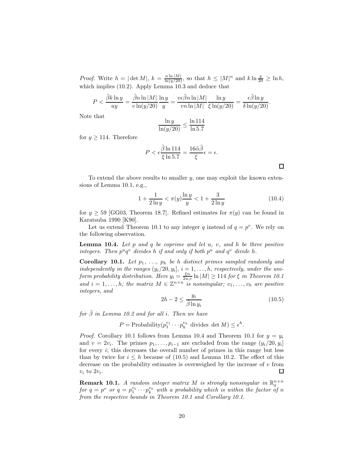*Proof.* Write  $h = |\det M|$ ,  $k = \frac{n \ln |M|}{\ln (y/20)}$ , so that  $h \le |M|^n$  and  $k \ln \frac{y}{20} \ge \ln h$ , which implies (10.2). Apply Lemma 10.3 and deduce that

$$
P < \frac{\tilde{\beta}k\ln y}{uy} = \frac{\tilde{\beta}n\ln |M|}{v\ln(y/20)}\frac{\ln y}{y} = \frac{v\epsilon\tilde{\beta}n\ln |M|}{vn\ln |M|}\frac{\ln y}{\xi\ln(y/20)} = \frac{\epsilon\tilde{\beta}\ln y}{\delta\ln(y/20)}.
$$

Note that

$$
\frac{\ln y}{\ln(y/20)} \le \frac{\ln 114}{\ln 5.7}
$$

for  $y \ge 114$ . Therefore

$$
P < \epsilon \frac{\tilde{\beta} \ln 114}{\xi \ln 5.7} = \frac{16\tilde{\alpha}\tilde{\beta}}{\xi} \epsilon = \epsilon.
$$

To extend the above results to smaller  $y$ , one may exploit the known extensions of Lemma 10.1, e.g.,

$$
1 + \frac{1}{2\ln y} < \pi(y) \frac{\ln y}{y} < 1 + \frac{3}{2\ln y} \tag{10.4}
$$

for  $y \ge 59$  [GG03, Theorem 18.7]. Refined estimates for  $\pi(y)$  can be found in Karatsuba 1990 [K90].

Let us extend Theorem 10.1 to any integer q instead of  $q = p^v$ . We rely on the following observation.

**Lemma 10.4.** *Let* p *and* q *be coprime and let* u*,* v*, and* h *be three positive integers. Then*  $p^u q^v$  *divides*  $h$  *if and only if both*  $p^u$  *and*  $q^v$  *divide*  $h$ *.* 

**Corollary 10.1.** Let  $p_1$ , ...,  $p_h$  be h distinct primes sampled randomly and *independently in the ranges*  $(y_i/20, y_i], i = 1, \ldots, h$ , *respectively, under the uniform probability distribution. Here*  $y_i = \frac{\xi^n}{2u_i \epsilon} \ln |M| \geq 114$  *for*  $\xi$  *in Theorem 10.1*<br>and  $i = 1$ , by the matrix  $M \in \mathbb{Z}^{n \times n}$  is noneingular;  $v_i$ , we are negative *and*  $i = 1, ..., h$ ; the matrix  $M \in \mathbb{Z}^{n \times n}$  *is nonsingular*;  $v_1, ..., v_h$  are positive *integers, and*

$$
2h - 2 \le \frac{y_i}{\tilde{\beta} \ln y_i} \tag{10.5}
$$

*for* β˜ *in Lemma 10.2 and for all* i*. Then we have*

 $P = \text{Probability}(p_1^{v_1} \cdots p_h^{v_h} \text{ divides } \det M) \leq \epsilon^h.$ 

*Proof.* Corollary 10.1 follows from Lemma 10.4 and Theorem 10.1 for  $y = y_i$ and  $v = 2v_i$ . The primes  $p_1, \ldots, p_{i-1}$  are excluded from the range  $(y_i/20, y_i]$ for every  $i$ ; this decreases the overall number of primes in this range but less than by twice for  $i \leq h$  because of (10.5) and Lemma 10.2. The effect of this decrease on the probability estimates is overweighed by the increase of  $v$  from  $v_i$  to  $2v_i$ . П

**Remark 10.1.** *A random integer matrix M is strongly nonsingular in*  $\mathbb{R}^{n \times n}_a$ *for*  $q = p^v$  *or*  $q = p_1^{v_1} \cdots p_k^{v_k}$  *with a probability which is within the factor of* n<br>*from the respective bounds in Theorem 10.1 and Corollary 10.1 from the respective bounds in Theorem 10.1 and Corollary 10.1.*

 $\Box$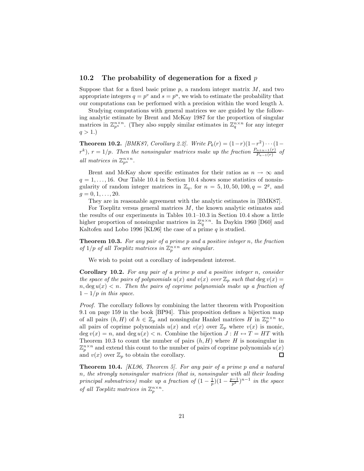#### **10.2 The probability of degeneration for a fixed** *p*

Suppose that for a fixed basic prime  $p$ , a random integer matrix  $M$ , and two appropriate integers  $q = p^v$  and  $s = p^u$ , we wish to estimate the probability that our computations can be performed with a precision within the word length  $\lambda$ .

Studying computations with general matrices we are guided by the following analytic estimate by Brent and McKay 1987 for the proportion of singular matrices in  $\mathbb{Z}_{p^u}^{n \times n}$ . (They also supply similar estimates in  $\mathbb{Z}_q^{n \times n}$  for any integer  $q > 1.$ 

**Theorem 10.2.** *[BMK87, Corollary 2.2]. Write*  $P_k(r) = (1 - r)(1 - r^2) \cdots (1 - r^2)$  $r^k$ ,  $r = 1/p$ . Then the nonsingular matrices make up the fraction  $\frac{P_{n+u-1}(r)}{P_{u-1}(r)}$  of *all matrices in*  $\mathbb{Z}_{p^u}^{n \times n}$ *.* 

Brent and McKay show specific estimates for their ratios as  $n \to \infty$  and  $q = 1, \ldots, 16$ . Our Table 10.4 in Section 10.4 shows some statistics of nonsingularity of random integer matrices in  $\mathbb{Z}_q$ , for  $n = 5, 10, 50, 100, q = 2^g$ , and  $q = 0, 1, \ldots, 20$ .

They are in reasonable agreement with the analytic estimates in [BMK87].

For Toeplitz versus general matrices  $M$ , the known analytic estimates and the results of our experiments in Tables 10.1–10.3 in Section 10.4 show a little higher proportion of nonsingular matrices in  $\mathbb{Z}_q^{n \times n}$ . In Daykin 1960 [D60] and Kaltofen and Lobo 1996 [KL96] the case of a prime  $q$  is studied.

**Theorem 10.3.** *For any pair of a prime* p *and a positive integer* n*, the fraction of*  $1/p$  *of all Toeplitz matrices in*  $\mathbb{Z}_p^{n \times n}$  *are singular.* 

We wish to point out a corollary of independent interest.

**Corollary 10.2.** *For any pair of a prime* p *and a positive integer* n*, consider the space of the pairs of polynomials*  $u(x)$  *and*  $v(x)$  *over*  $\mathbb{Z}_p$  *such that* deg  $v(x)$  =  $n, \deg u(x) < n$ . Then the pairs of coprime polynomials make up a fraction of  $1 - 1/p$  *in this space.* 

*Proof.* The corollary follows by combining the latter theorem with Proposition 9.1 on page 159 in the book [BP94]. This proposition defines a bijection map of all pairs  $(h, H)$  of  $h \in \mathbb{Z}_p$  and nonsingular Hankel matrices H in  $\mathbb{Z}_p^{n \times n}$  to all pairs of coprime polynomials  $u(x)$  and  $v(x)$  over  $\mathbb{Z}_p$  where  $v(x)$  is monic, deg  $v(x) = n$ , and deg  $u(x) < n$ . Combine the bijection  $J : H \leftrightarrow T = HT$  with Theorem 10.3 to count the number of pairs  $(h, H)$  where H is nonsingular in  $\mathbb{Z}_p^{n \times n}$  and extend this count to the number of pairs of coprime polynomials  $u(x)$  and  $v(x)$  over  $\mathbb{Z}_n$  to obtain the corollary. and  $v(x)$  over  $\mathbb{Z}_p$  to obtain the corollary.

**Theorem 10.4.** *[KL96, Theorem 5]. For any pair of a prime* p *and a natural* n*, the strongly nonsingular matrices (that is, nonsingular with all their leading principal submatrices) make up a fraction of*  $(1 - \frac{1}{p})(1 - \frac{p-1}{p^2})^{n-1}$  *in the space of all Toeplitz matrices in*  $\mathbb{Z}_p^{n \times n}$ *.*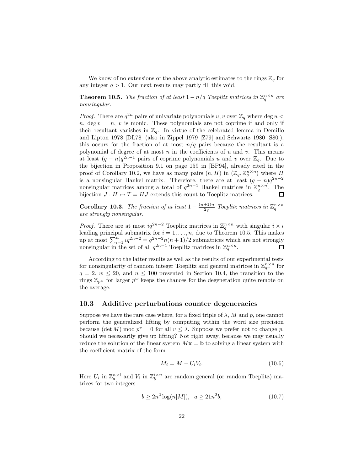We know of no extensions of the above analytic estimates to the rings  $\mathbb{Z}_q$  for any integer  $q > 1$ . Our next results may partly fill this void.

**Theorem 10.5.** *The fraction of at least*  $1 - n/q$  *Toeplitz matrices in*  $\mathbb{Z}_q^{n \times n}$  *are nonsingular.*

*Proof.* There are  $q^{2n}$  pairs of univariate polynomials u, v over  $\mathbb{Z}_q$  where deg u <  $n, deg v = n, v$  is monic. These polynomials are not coprime if and only if their resultant vanishes in  $\mathbb{Z}_q$ . In virtue of the celebrated lemma in Demillo and Lipton 1978 [DL78] (also in Zippel 1979 [Z79] and Schwartz 1980 [S80]), this occurs for the fraction of at most  $n/q$  pairs because the resultant is a polynomial of degree of at most  $n$  in the coefficients of  $u$  and  $v$ . This means at least  $(q - n)q^{2n-1}$  pairs of coprime polynomials u and v over  $\mathbb{Z}_q$ . Due to the bijection in Proposition 9.1 on page 159 in [BP94], already cited in the proof of Corollary 10.2, we have as many pairs  $(h, H)$  in  $(\mathbb{Z}_q, \mathbb{Z}_q^{n \times n})$  where H is a nonsingular Hankel matrix. Therefore, there are at least  $(q - n)q^{2n-2}$ nonsingular matrices among a total of  $q^{2n-1}$  Hankel matrices in  $\mathbb{Z}_q^{n \times n}$ . The bijection  $J: H \leftrightarrow T = HJ$  extends this count to Toeplitz matrices.

**Corollary 10.3.** *The fraction of at least*  $1 - \frac{(n+1)n}{2q}$  *Toeplitz matrices in*  $\mathbb{Z}_q^{n \times n}$  *are strongly nonsingular are strongly nonsingular.*

*Proof.* There are at most  $iq^{2n-2}$  Toeplitz matrices in  $\mathbb{Z}_q^{n \times n}$  with singular  $i \times i$ leading principal submatrix for  $i = 1, \ldots, n$ , due to Theorem 10.5. This makes up at most  $\sum_{i=1}^{n} iq^{2n-2} = q^{2n-2}n(n+1)/2$  submatrices which are not strongly nonsingular in the set of all  $q^{2n-1}$  Toeplitz matrices in  $\mathbb{Z}_q^{n \times n}$ .

According to the latter results as well as the results of our experimental tests for nonsingularity of random integer Toeplitz and general matrices in  $\mathbb{Z}_{q^w}^{n \times n}$  for  $q = 2, w \le 20$ , and  $n \le 100$  presented in Section 10.4, the transition to the rings  $\mathbb{Z}_{p^w}$  for larger  $p^w$  keeps the chances for the degeneration quite remote on the average.

#### **10.3 Additive perturbations counter degeneracies**

Suppose we have the rare case where, for a fixed triple of  $\lambda$ , M and p, one cannot perform the generalized lifting by computing within the word size precision because  $(\det M) \bmod p^v = 0$  for all  $v \leq \lambda$ . Suppose we prefer not to change p. Should we necessarily give up lifting? Not right away, because we may usually reduce the solution of the linear system  $Mx = b$  to solving a linear system with the coefficient matrix of the form

$$
M_i = M - U_i V_i. \tag{10.6}
$$

Here  $U_i$  in  $\mathbb{Z}_a^{n \times i}$  and  $V_i$  in  $\mathbb{Z}_b^{i \times n}$  are random general (or random Toeplitz) matrices for two integers

$$
b \ge 2n^2 \log(n|M|), \ a \ge 21n^2b,\tag{10.7}
$$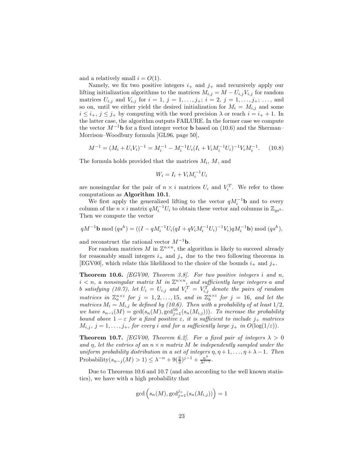and a relatively small  $i = O(1)$ .

Namely, we fix two positive integers  $i_{+}$  and  $j_{+}$  and recursively apply our lifting initialization algorithms to the matrices  $M_{i,j} = M - U_{i,j}V_{i,j}$  for random matrices  $U_{i,j}$  and  $V_{i,j}$  for  $i = 1, j = 1, \ldots, j_+; i = 2, j = 1, \ldots, j_+; \ldots$ , and so on, until we either yield the desired initialization for  $M_i = M_{i,j}$  and some  $i \leq i_+, j \leq j_+$  by computing with the word precision  $\lambda$  or reach  $i = i_+ + 1$ . In the latter case, the algorithm outputs FAILURE. In the former case we compute the vector  $M^{-1}$ **b** for a fixed integer vector **b** based on (10.6) and the Sherman– Morrison–Woodbury formula [GL96, page 50],

$$
M^{-1} = (M_i + U_i V_i)^{-1} = M_i^{-1} - M_i^{-1} U_i (I_i + V_i M_i^{-1} U_i)^{-1} V_i M_i^{-1}.
$$
 (10.8)

The formula holds provided that the matrices  $M_i$ ,  $M$ , and

$$
W_i = I_i + V_i M_i^{-1} U_i
$$

are nonsingular for the pair of  $n \times i$  matrices  $U_i$  and  $V_i^T$ . We refer to these computations as **Algorithm 10.1**.

We first apply the generalized lifting to the vector  $qM_i^{-1}$ **b** and to every column of the  $n \times i$  matrix  $qM_i^{-1}U_i$  to obtain these vector and columns in  $\mathbb{Z}_{qs^h}$ . Then we compute the vector

$$
qM^{-1}\mathbf{b} \bmod (qs^h) = ((I - qM_i^{-1}U_i(qI + qV_iM_i^{-1}U_i)^{-1}V_i)qM_i^{-1}\mathbf{b}) \bmod (qs^h),
$$

and reconstruct the rational vector  $M^{-1}$ **b**.

For random matrices M in  $\mathbb{Z}^{n \times n}$ , the algorithm is likely to succeed already for reasonably small integers  $i_+$  and  $j_+$  due to the two following theorems in [EGV00], which relate this likelihood to the choice of the bounds  $i_{+}$  and  $j_{+}$ .

**Theorem 10.6.** *[EGV00, Theorem 3.8]. For two positive integers* i *and* n*,*  $i < n$ , a nonsingular matrix M in  $\mathbb{Z}^{n \times n}$ , and sufficiently large integers a and b satisfying (10.7), let  $U_i = U_{i,j}$  and  $V_i^T = V_{i,j}^T$  denote the pairs of random *matrices in*  $\mathbb{Z}_a^{n \times i}$  *for*  $j = 1, 2, ..., 15$ *, and in*  $\mathbb{Z}_b^{n \times i}$  *for*  $j = 16$ *, and let the matrices*  $M_i = M_{i,j}$  *be defined by (10.6). Then with a probability of at least*  $1/2$ *, we have*  $s_{n-i}(M) = \gcd(s_n(M), \gcd_{j=1}^{\text{16}}(s_n(M_{i,j})))$ *. To increase the probability*<br>bound above  $1 - \epsilon$  for a fixed positive  $\epsilon$  it is sufficient to include in matrices *bound above*  $1 - \varepsilon$  *for a fixed positive*  $\varepsilon$ *, it is sufficient to include*  $j_+$  *matrices*  $M_{i,j}, j = 1, \ldots, j_+,$  *for every i* and *for a sufficiently large*  $j_+$  *in*  $O(\log(1/\varepsilon))$ *.* 

**Theorem 10.7.** *[EGV00, Theorem 6.2]. For a fixed pair of integers*  $\lambda > 0$ *and*  $\eta$ , let the entries of an  $n \times n$  *matrix* M be independently sampled under the *uniform probability distribution in a set of integers*  $\eta$ ,  $\eta$  + 1, ...,  $\eta$  +  $\lambda$  - 1*. Then* Probability $(s_{n-j}(M) > 1) \leq \lambda^{-n} + 9(\frac{2}{3})^{j-1} + \frac{n^3}{\lambda^{j-1}}.$ 

Due to Theorems 10.6 and 10.7 (and also according to the well known statistics), we have with a high probability that

$$
\gcd\left(s_n(M), \gcd_{j=1}^{j+}(s_n(M_{i,j}))\right) = 1
$$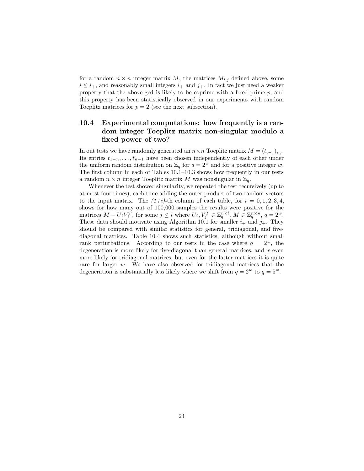for a random  $n \times n$  integer matrix M, the matrices  $M_{i,j}$  defined above, some  $i \leq i_{+}$ , and reasonably small integers  $i_{+}$  and  $j_{+}$ . In fact we just need a weaker property that the above gcd is likely to be coprime with a fixed prime  $p$ , and this property has been statistically observed in our experiments with random Toeplitz matrices for  $p = 2$  (see the next subsection).

## **10.4 Experimental computations: how frequently is a random integer Toeplitz matrix non-singular modulo a fixed power of two?**

In out tests we have randomly generated an  $n \times n$  Toeplitz matrix  $M = (t_{i-j})_{i,j}$ . Its entries  $t_{1-n},...,t_{n-1}$  have been chosen independently of each other under the uniform random distribution on  $\mathbb{Z}_q$  for  $q = 2^w$  and for a positive integer w. The first column in each of Tables 10.1–10.3 shows how frequently in our tests a random  $n \times n$  integer Toeplitz matrix M was nonsingular in  $\mathbb{Z}_q$ .

Whenever the test showed singularity, we repeated the test recursively (up to at most four times), each time adding the outer product of two random vectors to the input matrix. The  $(1+i)$ -th column of each table, for  $i = 0, 1, 2, 3, 4$ , shows for how many out of 100,000 samples the results were positive for the matrices  $M - U_j V_j^T$ , for some  $j \leq i$  where  $U_j, V_j^T \in \mathbb{Z}_q^{n \times l}$ ,  $M \in \mathbb{Z}_q^{n \times n}$ ,  $q = 2^w$ . These data should motivate using Algorithm 10.1 for smaller  $i_+$  and  $j_+$ . They should be compared with similar statistics for general, tridiagonal, and fivediagonal matrices. Table 10.4 shows such statistics, although without small rank perturbations. According to our tests in the case where  $q = 2^w$ , the degeneration is more likely for five-diagonal than general matrices, and is even more likely for tridiagonal matrices, but even for the latter matrices it is quite rare for larger w. We have also observed for tridiagonal matrices that the degeneration is substantially less likely where we shift from  $q = 2^w$  to  $q = 5^w$ .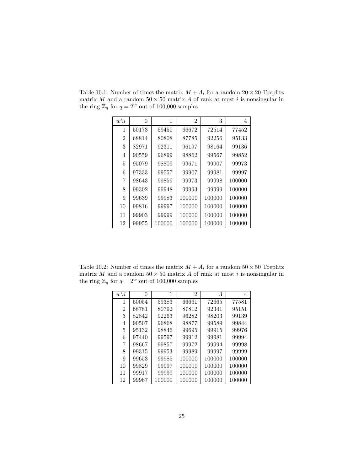| $w\backslash i$ | 0     | 1      | $\mathfrak{D}$ | 3      | 4      |
|-----------------|-------|--------|----------------|--------|--------|
| 1               | 50173 | 59450  | 66672          | 72514  | 77452  |
| $\overline{2}$  | 68814 | 80808  | 87785          | 92256  | 95133  |
| 3               | 82971 | 92311  | 96197          | 98164  | 99136  |
| 4               | 90559 | 96899  | 98862          | 99567  | 99852  |
| 5               | 95079 | 98809  | 99671          | 99907  | 99973  |
| 6               | 97333 | 99557  | 99907          | 99981  | 99997  |
| 7               | 98643 | 99859  | 99973          | 99998  | 100000 |
| 8               | 99302 | 99948  | 99993          | 99999  | 100000 |
| 9               | 99639 | 99983  | 100000         | 100000 | 100000 |
| 10              | 99816 | 99997  | 100000         | 100000 | 100000 |
| 11              | 99903 | 99999  | 100000         | 100000 | 100000 |
| 12              | 99955 | 100000 | 100000         | 100000 | 100000 |

Table 10.1: Number of times the matrix  $M + A_i$  for a random  $20 \times 20$  Toeplitz matrix  $M$  and a random  $50 \times 50$  matrix  $A$  of rank at most  $i$  is nonsingular in the ring  $\mathbb{Z}_q$  for  $q = 2^w$  out of 100,000 samples

Table 10.2: Number of times the matrix  $M + A_i$  for a random  $50 \times 50$  Toeplitz matrix  $M$  and a random  $50\times 50$  matrix  $A$  of rank at most  $i$  is nonsingular in the ring  $\mathbb{Z}_q$  for  $q = 2^w$  out of 100,000 samples

| $w \backslash i$ | $\left( \right)$ | 1      | 2      | 3      | 4      |
|------------------|------------------|--------|--------|--------|--------|
| 1                | 50054            | 59383  | 66661  | 72665  | 77581  |
| 2                | 68781            | 80792  | 87812  | 92341  | 95151  |
| 3                | 82842            | 92263  | 96282  | 98203  | 99139  |
| 4                | 90507            | 96868  | 98877  | 99589  | 99844  |
| 5                | 95132            | 98846  | 99695  | 99915  | 99976  |
| 6                | 97440            | 99597  | 99912  | 99981  | 99994  |
| 7                | 98667            | 99857  | 99972  | 99994  | 99998  |
| 8                | 99315            | 99953  | 99989  | 99997  | 99999  |
| 9                | 99653            | 99985  | 100000 | 100000 | 100000 |
| 10               | 99829            | 99997  | 100000 | 100000 | 100000 |
| 11               | 99917            | 99999  | 100000 | 100000 | 100000 |
| 12               | 99967            | 100000 | 100000 | 100000 | 100000 |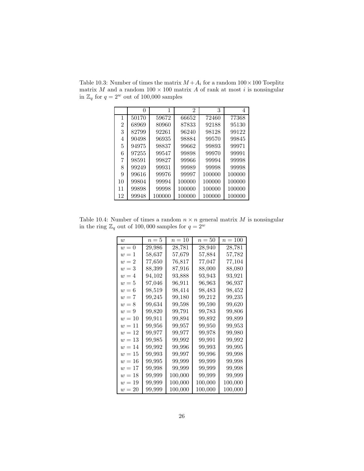|    |       |        | 2      | 3      | 4      |
|----|-------|--------|--------|--------|--------|
| 1  | 50170 | 59672  | 66652  | 72460  | 77368  |
| 2  | 68969 | 80960  | 87833  | 92188  | 95130  |
| 3  | 82799 | 92261  | 96240  | 98128  | 99122  |
| 4  | 90498 | 96935  | 98884  | 99570  | 99845  |
| 5  | 94975 | 98837  | 99662  | 99893  | 99971  |
| 6  | 97255 | 99547  | 99898  | 99970  | 99991  |
| 7  | 98591 | 99827  | 99966  | 99994  | 99998  |
| 8  | 99249 | 99931  | 99989  | 99998  | 99998  |
| 9  | 99616 | 99976  | 99997  | 100000 | 100000 |
| 10 | 99804 | 99994  | 100000 | 100000 | 100000 |
| 11 | 99898 | 99998  | 100000 | 100000 | 100000 |
| 12 | 99948 | 100000 | 100000 | 100000 | 100000 |

Table 10.3: Number of times the matrix  $M + A_i$  for a random  $100 \times 100$  Toeplitz matrix  $M$  and a random  $100 \times 100$  matrix  $A$  of rank at most  $i$  is nonsingular in  $\mathbb{Z}_q$  for  $q=2^w$  out of 100,000 samples

Table 10.4: Number of times a random  $n \times n$  general matrix M is nonsingular in the ring  $\mathbb{Z}_q$  out of 100,000 samples for  $q = 2^w$ 

| $\overline{w}$ | $n=5$  | $n=10$  | $n=50$  | $n = 100$ |
|----------------|--------|---------|---------|-----------|
| $w=0$          | 29,986 | 28,781  | 28,940  | 28,781    |
| $w=1$          | 58,637 | 57,679  | 57,884  | 57.782    |
| $w=2$          | 77,650 | 76,817  | 77,047  | 77,104    |
| $w=3$          | 88,399 | 87.916  | 88,000  | 88,080    |
| $w=4$          | 94,102 | 93.888  | 93.943  | 93,921    |
| $w=5$          | 97,046 | 96.911  | 96.963  | 96,937    |
| $w=6$          | 98,519 | 98,414  | 98,483  | 98,452    |
| $w=7$          | 99,245 | 99,180  | 99,212  | 99,235    |
| $w=8$          | 99,634 | 99,598  | 99,590  | 99,620    |
| $w=9$          | 99,820 | 99,791  | 99,783  | 99,806    |
| $w=10$         | 99.911 | 99.894  | 99.892  | 99,899    |
| $w=11$         | 99,956 | 99.957  | 99,950  | 99,953    |
| $w=12$         | 99,977 | 99,977  | 99,978  | 99,980    |
| $w=13$         | 99,985 | 99,992  | 99,991  | 99,992    |
| $w=14$         | 99,992 | 99,996  | 99,993  | 99,995    |
| $w=15$         | 99,993 | 99,997  | 99,996  | 99,998    |
| $w=16$         | 99,995 | 99,999  | 99,999  | 99,998    |
| $w=17$         | 99,998 | 99,999  | 99,999  | 99,998    |
| $w=18$         | 99,999 | 100,000 | 99,999  | 99,999    |
| $w=19$         | 99,999 | 100,000 | 100,000 | 100,000   |
| $w=20$         | 99,999 | 100,000 | 100,000 | 100,000   |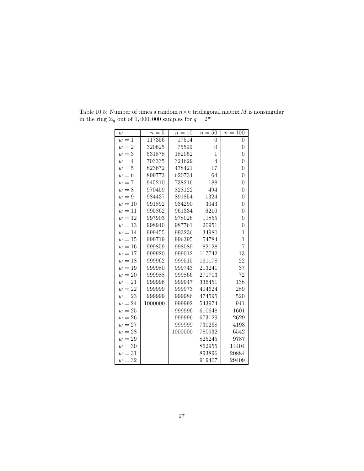| w      | $n=5$   | $n=10$  | $n=50$         | $n=100$          |
|--------|---------|---------|----------------|------------------|
| $w=1$  | 117356  | 17514   | $\overline{0}$ | $\overline{0}$   |
| $w=2$  | 320625  | 75599   | $\overline{0}$ | $\overline{0}$   |
| $w=3$  | 531878  | 182052  | $\mathbf 1$    | $\overline{0}$   |
| $w=4$  | 703335  | 324629  | $\overline{4}$ | $\overline{0}$   |
| $w=5$  | 823672  | 478421  | 17             | $\overline{0}$   |
| $w=6$  | 899773  | 620734  | 64             | $\overline{0}$   |
| $w=7$  | 945210  | 738216  | 188            | $\overline{0}$   |
| $w=8$  | 970459  | 828122  | 494            | $\overline{0}$   |
| $w=9$  | 984437  | 891854  | 1324           | $\overline{0}$   |
| $w=10$ | 991892  | 934290  | 3043           | $\overline{0}$   |
| $w=11$ | 995862  | 961334  | 6210           | $\overline{0}$   |
| $w=12$ | 997903  | 978026  | 11855          | $\boldsymbol{0}$ |
| $w=13$ | 998940  | 987761  | 20951          | $\overline{0}$   |
| $w=14$ | 999455  | 993236  | 34980          | $\overline{1}$   |
| $w=15$ | 999719  | 996395  | 54784          | $\mathbf{1}$     |
| $w=16$ | 999859  | 998089  | 82128          | $\overline{7}$   |
| $w=17$ | 999920  | 999012  | 117742         | 13               |
| $w=18$ | 999962  | 999515  | 161178         | 22               |
| $w=19$ | 999980  | 999743  | 213241         | 37               |
| $w=20$ | 999988  | 999866  | 271703         | 72               |
| $w=21$ | 999996  | 999947  | 336451         | 138              |
| $w=22$ | 999999  | 999973  | 404624         | 289              |
| $w=23$ | 999999  | 999986  | 474595         | 520              |
| $w=24$ | 1000000 | 999992  | 543974         | 941              |
| $w=25$ |         | 999996  | 610648         | 1601             |
| $w=26$ |         | 999996  | 673129         | 2629             |
| $w=27$ |         | 999999  | 730268         | 4193             |
| $w=28$ |         | 1000000 | 780932         | 6542             |
| $w=29$ |         |         | 825245         | 9787             |
| $w=30$ |         |         | 862955         | 14404            |
| $w=31$ |         |         | 893896         | 20884            |
| $w=32$ |         |         | 919407         | 29409            |

Table 10.5: Number of times a random  $n \times n$  tridiagonal matrix  $M$  is nonsingular in the ring  $\mathbb{Z}_q$  out of 1,000,000 samples for  $q = 2^w$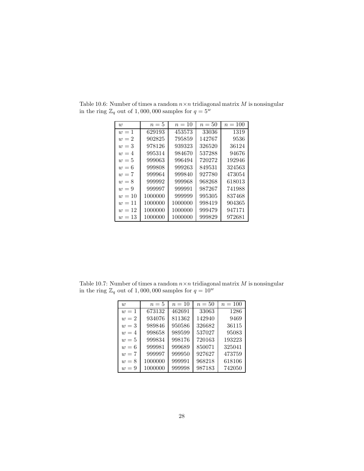| w      | $n=5$   | $n=10$  | $n=50$ | $n = 100$ |
|--------|---------|---------|--------|-----------|
| $w=1$  | 629193  | 453573  | 33036  | 1319      |
| $w=2$  | 902825  | 795859  | 142767 | 9536      |
| $w=3$  | 978126  | 939323  | 326520 | 36124     |
| $w=4$  | 995314  | 984670  | 537288 | 94676     |
| $w=5$  | 999063  | 996494  | 720272 | 192946    |
| $w=6$  | 999808  | 999263  | 849531 | 324563    |
| $w=7$  | 999964  | 999840  | 927780 | 473054    |
| $w=8$  | 999992  | 999968  | 968268 | 618013    |
| $w=9$  | 999997  | 999991  | 987267 | 741988    |
| $w=10$ | 1000000 | 999999  | 995305 | 837468    |
| $w=11$ | 1000000 | 1000000 | 998419 | 904365    |
| $w=12$ | 1000000 | 1000000 | 999479 | 947171    |
| $w=13$ | 1000000 | 1000000 | 999829 | 972681    |

Table 10.6: Number of times a random  $n \times n$  tridiagonal matrix M is nonsingular in the ring  $\mathbb{Z}_q$  out of 1,000,000 samples for  $q = 5^w$ 

Table 10.7: Number of times a random  $n \times n$  tridiagonal matrix M is nonsingular in the ring  $\mathbb{Z}_q$  out of 1,000,000 samples for  $q = 10^w$ 

| $\overline{w}$ | $n=5$   | $n=10$ | $n=50$ | $n = 100$ |
|----------------|---------|--------|--------|-----------|
| $w=1$          | 673132  | 462691 | 33063  | 1286      |
| $w=2$          | 934076  | 811362 | 142940 | 9469      |
| $w=3$          | 989846  | 950586 | 326682 | 36115     |
| $w=4$          | 998658  | 989599 | 537027 | 95083     |
| $w=5$          | 999834  | 998176 | 720163 | 193223    |
| $w=6$          | 999981  | 999689 | 850071 | 325041    |
| $w=7$          | 999997  | 999950 | 927627 | 473759    |
| $w=8$          | 1000000 | 999991 | 968218 | 618106    |
| $w = 9$        | 1000000 | 999998 | 987183 | 742050    |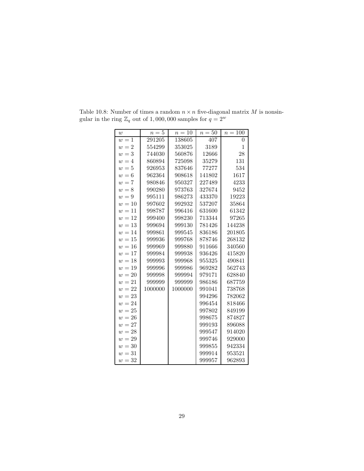| w      | $n=5$   | $n=10$  | $n=50$ | $n=100$      |
|--------|---------|---------|--------|--------------|
| $w=1$  | 291205  | 138605  | 407    | $\theta$     |
| $w=2$  | 554299  | 353025  | 3189   | $\mathbf{1}$ |
| $w=3$  | 744030  | 560876  | 12666  | 28           |
| $w=4$  | 860894  | 725098  | 35279  | 131          |
| $w=5$  | 926953  | 837646  | 77277  | 534          |
| $w=6$  | 962364  | 908618  | 141802 | 1617         |
| $w=7$  | 980846  | 950327  | 227489 | 4233         |
| $w=8$  | 990280  | 973763  | 327674 | 9452         |
| $w=9$  | 995111  | 986273  | 433370 | 19223        |
| $w=10$ | 997602  | 992932  | 537207 | 35864        |
| $w=11$ | 998787  | 996416  | 631600 | 61342        |
| $w=12$ | 999400  | 998230  | 713344 | 97265        |
| $w=13$ | 999694  | 999130  | 781426 | 144238       |
| $w=14$ | 999861  | 999545  | 836186 | 201805       |
| $w=15$ | 999936  | 999768  | 878746 | 268132       |
| $w=16$ | 999969  | 999880  | 911666 | 340560       |
| $w=17$ | 999984  | 999938  | 936426 | 415820       |
| $w=18$ | 999993  | 999968  | 955325 | 490841       |
| $w=19$ | 999996  | 999986  | 969282 | 562743       |
| $w=20$ | 999998  | 999994  | 979171 | 628840       |
| $w=21$ | 999999  | 999999  | 986186 | 687759       |
| $w=22$ | 1000000 | 1000000 | 991041 | 738768       |
| $w=23$ |         |         | 994296 | 782062       |
| $w=24$ |         |         | 996454 | 818466       |
| $w=25$ |         |         | 997802 | 849199       |
| $w=26$ |         |         | 998675 | 874827       |
| $w=27$ |         |         | 999193 | 896088       |
| $w=28$ |         |         | 999547 | 914020       |
| $w=29$ |         |         | 999746 | 929000       |
| $w=30$ |         |         | 999855 | 942334       |
| $w=31$ |         |         | 999914 | 953521       |
| $w=32$ |         |         | 999957 | 962893       |

Table 10.8: Number of times a random  $n \times n$  five-diagonal matrix M is nonsingular in the ring  $\mathbb{Z}_q$  out of 1,000,000 samples for  $q = 2^w$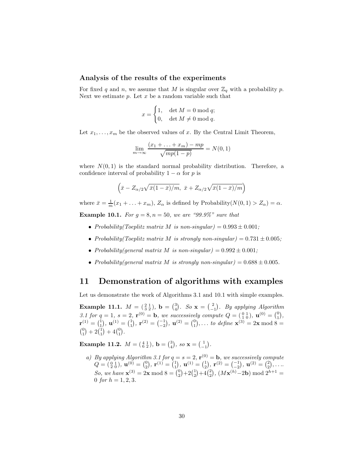#### **Analysis of the results of the experiments**

For fixed q and n, we assume that M is singular over  $\mathbb{Z}_q$  with a probability p. Next we estimate  $p$ . Let  $x$  be a random variable such that

$$
x = \begin{cases} 1, & \det M = 0 \bmod q; \\ 0, & \det M \neq 0 \bmod q. \end{cases}
$$

Let  $x_1, \ldots, x_m$  be the observed values of x. By the Central Limit Theorem,

$$
\lim_{m \to \infty} \frac{(x_1 + \dots + x_m) - mp}{\sqrt{mp(1-p)}} = N(0, 1)
$$

where  $N(0, 1)$  is the standard normal probability distribution. Therefore, a confidence interval of probability  $1 - \alpha$  for p is

$$
\left(\bar{x} - Z_{\alpha/2}\sqrt{\bar{x}(1-\bar{x})/m}, \ \bar{x} + Z_{\alpha/2}\sqrt{\bar{x}(1-\bar{x})/m}\right)
$$

where  $\bar{x} = \frac{1}{m}(x_1 + \ldots + x_m)$ ,  $Z_{\alpha}$  is defined by Probability $(N(0, 1) > Z_{\alpha}) = \alpha$ .

**Example 10.1.** *For*  $g = 8, n = 50$ *, we are "99.9%" sure that* 

- *Probability(Toeplitz matrix M is non-singular)* =  $0.993 \pm 0.001$ ;
- *Probability(Toeplitz matrix M is strongly non-singular)* =  $0.731 \pm 0.005$ ;
- *Probability(general matrix M is non-singular)* =  $0.992 \pm 0.001$ ;
- *Probability(general matrix M is strongly non-singular)* =  $0.688 \pm 0.005$ .

## **11 Demonstration of algorithms with examples**

Let us demonstrate the work of Algorithms 3.1 and 10.1 with simple examples.

**Example 11.1.**  $M = \begin{pmatrix} 2 & 1 \\ 3 & 2 \end{pmatrix}$ ,  $\mathbf{b} = \begin{pmatrix} 3 \\ 4 \end{pmatrix}$ . So  $\mathbf{x} = \begin{pmatrix} 2 \\ -1 \end{pmatrix}$ . By applying Algorithm 3.1 for  $q = 1$ ,  $s = 2$ ,  $\mathbf{r}^{(0)} = \mathbf{b}$ , we successively compute  $Q = \begin{pmatrix} 0 & 1 \ 1 & 0 \end{pmatrix}$ ,  $\mathbf{u}^{(0)} = \begin{pmatrix} 0 \\ 1 \end{pmatrix}$ <br> $\mathbf{u}^{(1)} = \begin{pmatrix} 1 \\ 1 \end{pmatrix}$ ,  $\mathbf{u}^{(1)} = \begin{pmatrix} 1 \\ 1 \end{pmatrix}$ ,  $\mathbf{u}^{(2)} = \begin{pmatrix} -1 \\ 1 \end{pmatrix$  *,*  $\mathbf{r}^{(1)} = \begin{pmatrix} 1 \\ 1 \end{pmatrix}, \mathbf{u}^{(1)} = \begin{pmatrix} 1 \\ 1 \end{pmatrix}$  $\binom{0}{1} + 2\binom{1}{1} + 4\binom{0}{1}.$  $\mathbf{r}^{(2)} = \begin{pmatrix} -1 \\ -2 \end{pmatrix}$  $\mathbf{u}^{(2)} = \begin{pmatrix} 0 \\ 1 \end{pmatrix}$  $\int$ ,... *to define*  $\mathbf{x}^{(3)} = 2\mathbf{x} \mod 8 =$ 

**Example 11.2.**  $M = \begin{pmatrix} 4 & 1 \\ 6 & 2 \end{pmatrix}$ , **b** =  $\begin{pmatrix} 3 \\ 4 \end{pmatrix}$ , *so* **x** =  $\begin{pmatrix} 1 \\ -1 \end{pmatrix}$  *.*

*a)* By applying Algorithm 3.1 for  $q = s = 2$ ,  $\mathbf{r}^{(0)} = \mathbf{b}$ , we successively compute  $Q = \begin{pmatrix} 0 & 1 \\ 2 & 0 \end{pmatrix}$ ,  $\mathbf{u}^{(0)} = \begin{pmatrix} 0 \\ 2 \end{pmatrix}$ <br>So we have  $\mathbf{v}^{(3)}$  $\bf{r}^{(1)} = \begin{pmatrix} 1 \\ 1 \end{pmatrix}$  $\mathbf{u}^{(1)} = \begin{pmatrix} 1 \\ 2 \end{pmatrix}$  $\bf{r}^{(2)} = \begin{pmatrix} -1 \\ -2 \end{pmatrix}$  $({}^{2})$ , **u**<sup>(2)</sup> =  $({}^{2}_{2})$ <br>2**b**) mod 2<sup>*l*</sup> ,...*. So, we have*  $\mathbf{x}^{(3)} = 2\mathbf{x} \mod 8 = \binom{0}{2}$ <br>0 for  $h = 1, 2, 3$  $+2\binom{1}{2}$  $+4\binom{2}{2}$  $\int$ , (M**x**<sup>(h)</sup>−2**b**) mod 2<sup>h+1</sup> = 0 *for*  $h = 1, 2, 3$ .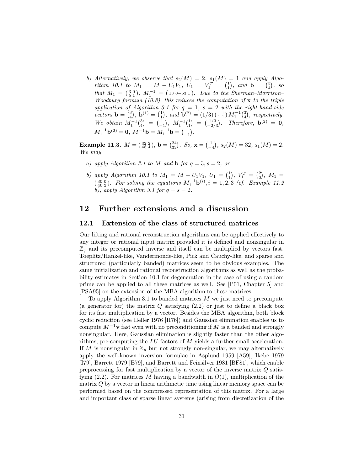*b)* Alternatively, we observe that  $s_2(M) = 2$ ,  $s_1(M) = 1$  and apply Algo*rithm 10.1 to*  $M_1 = M - U_1 V_1$ ,  $U_1 = V_1^T = \begin{pmatrix} 1 \\ 1 \end{pmatrix}$ , and  $\mathbf{b} = \begin{pmatrix} 3 \\ 4 \end{pmatrix}$ , so<br>*that*  $M = \begin{pmatrix} 3 & 0 \\ 4 & 0 \end{pmatrix}$ ,  $M^{-1} = \begin{pmatrix} 1 & 0 & 5 & 1 \\ 4 & 0 & 5 & 1 \end{pmatrix}$ . Put is the Sharmon Manison that  $M_1 = (\frac{3}{2}^0)$ ,  $M_1^{-1} = (13 \text{ 0} - 53 \text{ 1})$ *. Due to the Sherman–Morrison–*<br>Woodbury formula (10.8) this reduces the computation of **x** to the triple *Woodbury formula (10.8), this reduces the computation of* **x** *to the triple application of Algorithm 3.1 for* q = 1*,* s = 2 *with the right-hand-side*  $\text{vectors } \mathbf{b} = \begin{pmatrix} 3 \\ 4 \end{pmatrix}$  $\mathbf{b}^{(1)} = \begin{pmatrix} 1 \\ 1 \end{pmatrix}$ <br> $\mathbf{b}^{(1)} = \begin{pmatrix} 1 \\ 1 \end{pmatrix}$ *and* **b**<sup>(2)</sup> = (1/3) ( $\frac{1}{1}$ )  $M_1^{-1}$  ( $\frac{3}{4}$ ) *, respectively.*  $\text{We obtain } M_1^{-1} \begin{pmatrix} 3 \\ 4 \end{pmatrix} = \begin{pmatrix} 1 \\ -1 \end{pmatrix}, M_1^{-1} \begin{pmatrix} 1 \\ 1 \end{pmatrix} = \begin{pmatrix} 1/3 \\ -2/3 \end{pmatrix}$  $M_1^{-1}$ **b**<sup>(2)</sup> = **0***,*  $M^{-1}$ **b** =  $M_1^{-1}$ **b** =  $\begin{pmatrix} 1 \\ -1 \end{pmatrix}$  $\int_{-2/3}^{1/3}$ . Therefore, **b**<sup>(2)</sup> = **0***, .*

**Example 11.3.**  $M = \begin{pmatrix} 32 & 2 \\ 48 & 4 \end{pmatrix}$ ,  $\mathbf{b} = \begin{pmatrix} 24 \\ 32 \end{pmatrix}$ . So,  $\mathbf{x} = \begin{pmatrix} 1 \\ -4 \end{pmatrix}$  $, s_2(M) = 32, s_1(M) = 2.$ *We may*

- *a)* apply Algorithm 3.1 to M and **b** for  $q = 3$ ,  $s = 2$ , or
- *b)* apply Algorithm 10.1 to  $M_1 = M U_1 V_1$ ,  $U_1 = \begin{pmatrix} 1 \\ 1 \end{pmatrix}$ ,  $V_1^T = \begin{pmatrix} 2 \\ 2 \end{pmatrix}$ ,  $M_1 = \begin{pmatrix} 30.0 \\ 1 \end{pmatrix}$ . For a china the constitution  $M^{-1}$ ,  $(i) = 1, 2, 3$ , (if France 14.4.4)  $\binom{300}{462}$ . For solving the equations  $M_1^{-1}$ **b**<sup>(i)</sup>,  $i = 1, 2, 3$  *(cf. Example 11.2*) *b*), apply Algorithm 3.1 for  $q = s = 2$ .

## **12 Further extensions and a discussion**

#### **12.1 Extension of the class of structured matrices**

Our lifting and rational reconstruction algorithms can be applied effectively to any integer or rational input matrix provided it is defined and nonsingular in  $\mathbb{Z}_q$  and its precomputed inverse and itself can be multiplied by vectors fast. Toeplitz/Hankel-like, Vandermonde-like, Pick and Cauchy-like, and sparse and structured (particularly banded) matrices seem to be obvious examples. The same initialization and rational reconstruction algorithms as well as the probability estimates in Section 10.1 for degeneration in the case of using a random prime can be applied to all these matrices as well. See [P01, Chapter 5] and [PSA95] on the extension of the MBA algorithm to these matrices.

To apply Algorithm 3.1 to banded matrices  $M$  we just need to precompute (a generator for) the matrix  $Q$  satisfying  $(2.2)$  or just to define a black box for its fast multiplication by a vector. Besides the MBA algorithm, both block cyclic reduction (see Heller 1976 [H76]) and Gaussian elimination enables us to compute  $M^{-1}$ **v** fast even with no preconditioning if M is a banded and strongly nonsingular. Here, Gaussian elimination is slightly faster than the other algorithms; pre-computing the LU factors of M yields a further small acceleration. If M is nonsingular in  $\mathbb{Z}_p$  but not strongly non-singular, we may alternatively apply the well-known inversion formulae in Asplund 1959 [A59], Ikebe 1979 [I79], Barrett 1979 [B79], and Barrett and Feinsilver 1981 [BF81], which enable preprocessing for fast multiplication by a vector of the inverse matrix Q satisfying  $(2.2)$ . For matrices M having a bandwidth in  $O(1)$ , multiplication of the matrix Q by a vector in linear arithmetic time using linear memory space can be performed based on the compressed representation of this matrix. For a large and important class of sparse linear systems (arising from discretization of the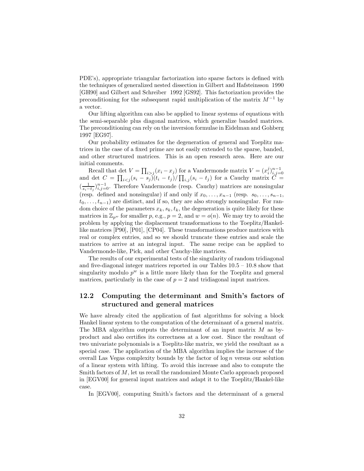PDE's), appropriate triangular factorization into sparse factors is defined with the techniques of generalized nested dissection in Gilbert and Hafsteinsson 1990 [GH90] and Gilbert and Schreiber 1992 [GS92]. This factorization provides the preconditioning for the subsequent rapid multiplication of the matrix  $M^{-1}$  by a vector.

Our lifting algorithm can also be applied to linear systems of equations with the semi-separable plus diagonal matrices, which generalize banded matrices. The preconditioning can rely on the inversion formulae in Eidelman and Gohberg 1997 [EG97].

Our probability estimates for the degeneration of general and Toeplitz matrices in the case of a fixed prime are not easily extended to the sparse, banded, and other structured matrices. This is an open research area. Here are our initial comments.

Recall that det  $V = \prod_{i > j} (x_i - x_j)$  for a Vandermonde matrix  $V = (x_i^j)_{i,j=0}^{n-1}$  and det  $C = \prod_{i < j} (s_i - s_j) (t_i - t_j) / \prod_{i,j} (s_i - t_j)$  for a Cauchy matrix  $C =$  $\left(\frac{1}{s_i-t_j}\right)_{i,j=0}^{n-1}$ . Therefore Vandermonde (resp. Cauchy) matrices are nonsingular (resp. defined and nonsingular) if and only if  $x_0, \ldots, x_{n-1}$  (resp.  $s_0, \ldots, s_{n-1}$ ,  $t_0, \ldots, t_{n-1}$  are distinct, and if so, they are also strongly nonsingular. For random choice of the parameters  $x_k$ ,  $s_k$ ,  $t_k$ , the degeneration is quite likely for these matrices in  $\mathbb{Z}_{p^w}$  for smaller p, e.g.,  $p = 2$ , and  $w = o(n)$ . We may try to avoid the problem by applying the displacement transformations to the Toeplitz/Hankellike matrices [P90], [P01], [CP04]. These transformations produce matrices with real or complex entries, and so we should truncate these entries and scale the matrices to arrive at an integral input. The same recipe can be applied to Vandermonde-like, Pick, and other Cauchy-like matrices.

The results of our experimental tests of the singularity of random tridiagonal and five-diagonal integer matrices reported in our Tables  $10.5 - 10.8$  show that singularity modulo  $p^w$  is a little more likely than for the Toeplitz and general matrices, particularly in the case of  $p = 2$  and tridiagonal input matrices.

### **12.2 Computing the determinant and Smith's factors of structured and general matrices**

We have already cited the application of fast algorithms for solving a block Hankel linear system to the computation of the determinant of a general matrix. The MBA algorithm outputs the determinant of an input matrix M as byproduct and also certifies its correctness at a low cost. Since the resultant of two univariate polynomials is a Toeplitz-like matrix, we yield the resultant as a special case. The application of the MBA algorithm implies the increase of the overall Las Vegas complexity bounds by the factor of  $\log n$  versus our solution of a linear system with lifting. To avoid this increase and also to compute the Smith factors of M, let us recall the randomized Monte Carlo approach proposed in [EGV00] for general input matrices and adapt it to the Toeplitz/Hankel-like case.

In [EGV00], computing Smith's factors and the determinant of a general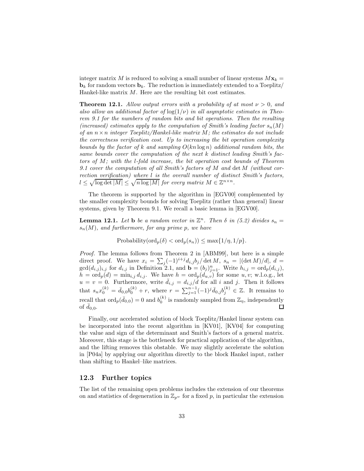integer matrix M is reduced to solving a small number of linear systems  $Mx_k =$  $\mathbf{b}_k$  for random vectors  $\mathbf{b}_k$ . The reduction is immediately extended to a Toeplitz/ Hankel-like matrix  $M$ . Here are the resulting bit cost estimates.

**Theorem 12.1.** *Allow output errors with a probability of at most*  $\nu > 0$ *, and* also allow an additional factor of  $log(1/\nu)$  in all asymptotic estimates in Theo*rem 9.1 for the numbers of random bits and bit operations. Then the resulting (increased) estimates apply to the computation of Smith's leading factor*  $s_n(M)$ *of an* n×n *integer Toeplitz/Hankel-like matrix* M*; the estimates do not include the correctness verification cost. Up to increasing the bit operation complexity bounds by the factor of* k *and sampling* O(kn log n) *additional random bits, the same bounds cover the computation of the next* k *distinct leading Smith's factors of* M*; with the* l*-fold increase, the bit operation cost bounds of Theorem 9.1 cover the computation of all Smith's factors of* M *and* det M *(without correction verification) where* l *is the overall number of distinct Smith's factors,*  $l \leq \sqrt{\log \det |M|} \leq \sqrt{n \log |M|}$  *for every matrix*  $M \in \mathbb{Z}^{n \times n}$ *.* 

The theorem is supported by the algorithm in [EGV00] complemented by the smaller complexity bounds for solving Toeplitz (rather than general) linear systems, given by Theorem 9.1. We recall a basic lemma in [EGV00].

**Lemma 12.1.** Let **b** be a random vector in  $\mathbb{Z}^n$ . Then  $\delta$  in (5.2) divides  $s_n =$ sn(M)*, and furthermore, for any prime* p*, we have*

Probability( $\text{ord}_p(\delta) < \text{ord}_p(s_n)$ )  $\leq \max\{1/\eta, 1/p\}.$ 

*Proof.* The lemma follows from Theorem 2 in [ABM99], but here is a simple direct proof. We have  $x_i = \sum_j (-1)^{i+j} d_{i,j} b_j / \det M$ ,  $s_n = |(\det M)/d|$ ,  $d =$  $gcd(d_{i,j})_{i,j}$  for  $d_{i,j}$  in Definition 2.1, and  $\mathbf{b} = (b_j)_{j=1}^n$ . Write  $h_{i,j} = ord_p(d_{i,j}),$ <br>  $b = ord_p(d) = min_q d_{i,j}$ . We have  $b = ord_p(d_{i,j})$  for some u w w l.e.g. let  $h = \text{ord}_p(d) = \min_{i,j} d_{i,j}.$  We have  $h = \text{ord}_p(d_{u,v})$  for some  $u, v$ ; w.l.o.g., let  $u = v = 0$ . Furthermore, write  $\bar{d}_{i,j} = d_{i,j}/d$  for all i and j. Then it follows that  $s_n x_0^{(k)} = \bar{d}_{0,0} b_0^{(k)} + r$ , where  $r = \sum_{j=1}^{n-1} (-1)^j \bar{d}_{0,j} b_j^{(k)} \in \mathbb{Z}$ . It remains to recall that  $\text{ord}_p(\bar{d}_{0,0}) = 0$  and  $b_0^{(k)}$  is randomly sampled from  $\mathbb{Z}_\eta$ , independently of  $\bar{d}_{0,0}$ .

Finally, our accelerated solution of block Toeplitz/Hankel linear system can be incorporated into the recent algorithm in [KV01], [KV04] for computing the value and sign of the determinant and Smith's factors of a general matrix. Moreover, this stage is the bottleneck for practical application of the algorithm, and the lifting removes this obstable. We may slightly accelerate the solution in [P04a] by applying our algorithm directly to the block Hankel input, rather than shifting to Hankel–like matrices.

#### **12.3 Further topics**

The list of the remaining open problems includes the extension of our theorems on and statistics of degeneration in  $\mathbb{Z}_{p^w}$  for a fixed p, in particular the extension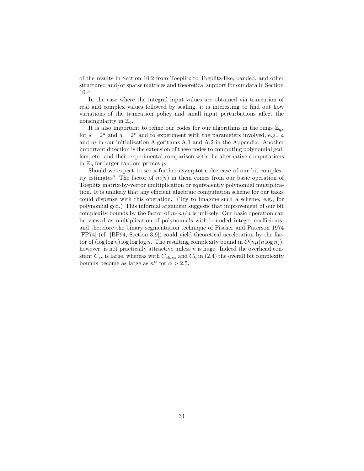of the results in Section 10.2 from Toeplitz to Toeplitz-like, banded, and other structured and/or sparse matrices and theoretical support for our data in Section 10.4.

In the case where the integral input values are obtained via truncation of real and complex values followed by scaling, it is interesting to find out how variations of the truncation policy and small input perturbations affect the nonsingularity in  $\mathbb{Z}_q$ .

It is also important to refine our codes for our algorithms in the rings  $\mathbb{Z}_{qs}$ for  $s = 2^u$  and  $q = 2^v$  and to experiment with the parameters involved, e.g., a and m in our initialization Algorithms A.1 and A.2 in the Appendix. Another important direction is the extension of these codes to computing polynomial gcd, lcm, etc. and their experimental comparison with the alternative computations in  $\mathbb{Z}_p$  for larger random primes p.

Should we expect to see a further asymptotic decrease of our bit complexity estimates? The factor of  $m(n)$  in them comes from our basic operation of Toeplitz matrix-by-vector multiplication or equivalently polynomial multiplication. It is unlikely that any efficient algebraic computation scheme for our tasks could dispense with this operation. (Try to imagine such a scheme, e.g., for polynomial gcd.) This informal argument suggests that improvement of our bit complexity bounds by the factor of  $m(n)/n$  is unlikely. Our basic operation can be viewed as multiplication of polynomials with bounded integer coefficients, and therefore the binary segmentation technique of Fischer and Paterson 1974 [FP74] (cf. [BP94, Section 3.9]) could yield theoretical acceleration by the factor of  $(\log \log n) \log \log \log n$ . The resulting complexity bound in  $O(n\mu(n \log n))$ , however, is not practically attractive unless  $n$  is huge. Indeed the overhead constant  $C_{ss}$  is large, whereas with  $C_{class}$  and  $C_k$  in (2.4) the overall bit complexity bounds become as large as  $n^{\alpha}$  for  $\alpha > 2.5$ .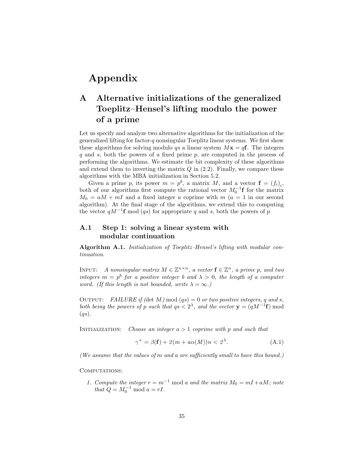# **Appendix**

## **A Alternative initializations of the generalized Toeplitz–Hensel's lifting modulo the power of a prime**

Let us specify and analyze two alternative algorithms for the initialization of the generalized lifting for factor- $q$  nonsingular Toeplitz linear systems. We first show these algorithms for solving modulo qs a linear system  $Mx = qf$ . The integers q and s, both the powers of a fixed prime p, are computed in the process of performing the algorithms. We estimate the bit complexity of these algorithms and extend them to inverting the matrix  $Q$  in  $(2.2)$ . Finally, we compare these algorithms with the MBA initialization in Section 5.2.

Given a prime p, its power  $m = p^b$ , a matrix M, and a vector  $f = (f_i)_i$ , both of our algorithms first compute the rational vector  $M_0^{-1}$ **f** for the matrix  $M_0 = aM + mL$  and a fixed integer a copying with  $m(a-1)$  in our second  $M_0 = aM + mI$  and a fixed integer a coprime with  $m(a = 1$  in our second algorithm). At the final stage of the algorithms, we extend this to computing the vector  $qM^{-1}$ **f** mod (qs) for appropriate q and s, both the powers of p.

## **A.1 Step 1: solving a linear system with modular continuation**

**Algorithm A.1.** *Initialization of Toeplitz–Hensel's lifting with modular continuation.*

INPUT: *A nonsingular matrix*  $M \in \mathbb{Z}^{n \times n}$ , a vector  $\mathbf{f} \in \mathbb{Z}^n$ , a prime p, and two *integers*  $m = p^b$  *for a positive integer b and*  $\lambda > 0$ *, the length of a computer word.* (If this length is not bounded, write  $\lambda = \infty$ *.*)

OUTPUT: *FAILURE if (det M)* mod  $(qs)=0$  *or two positive integers,* q and s, *both being the powers of* p *such that*  $qs < 2<sup>\lambda</sup>$ *, and the vector*  $y = (qM^{-1}f) \text{ mod }$ (qs)*.*

Initialization: *Choose an integer* a > 1 *coprime with* p *and such that*

$$
\gamma^+ = \beta(\mathbf{f}) + 2(m + a\alpha(M))n < 2^{\lambda}.\tag{A.1}
$$

*(We assume that the values of* m *and* a *are sufficiently small to have this bound.)*

COMPUTATIONS:

*1. Compute the integer*  $r = m^{-1}$  mod a and the matrix  $M_0 = mI + aM$ ; note *that*  $Q = M_0^{-1} \text{ mod } a = rI$ .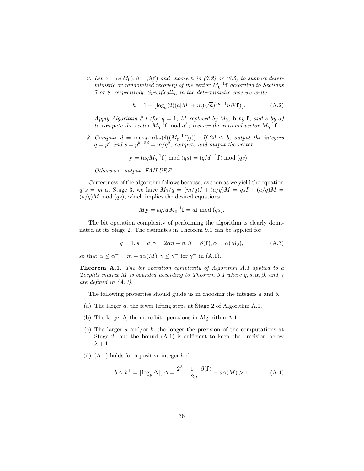2. Let  $\alpha = \alpha(M_0), \beta = \beta(f)$  and choose h in (7.2) or (8.5) to support deter*ministic or randomized recovery of the vector*  $M_0^{-1}$ **f** *according to Sections*<sup> $\gamma$ </sup> *or 8 reconstiguely Specifically in the deterministic case we write 7 or 8, respectively. Specifically, in the deterministic case we write*

$$
h = 1 + \lfloor \log_a(2((a|M| + m)\sqrt{n})^{2n-1}n\beta(\mathbf{f})) \rfloor.
$$
 (A.2)

*Apply Algorithm 3.1 (for*  $q = 1$ *, M replaced by*  $M_0$ *, b by* **f***, and s by* a) *to compute the vector*  $M_0^{-1}$ **f** mod  $a^h$ ; *recover the rational vector*  $M_0^{-1}$ **f**.

*3. Compute*  $d = \max_j \text{ord}_m(\delta((M_0^{-1} \mathbf{f})_j))$ *. If*  $2d \leq b$ *, output the integers*  $q = p^d$  *and*  $s = p^{b-2d} = m/q^2$ *; compute and output the vector* 

 $$ 

*Otherwise output FAILURE.*

Correctness of the algorithm follows because, as soon as we yield the equation  $q^2s = m$  at Stage 3, we have  $M_0/q = (m/q)I + (a/q)M = qsI + (a/q)M =$  $(a/q)M \mod (qs)$ , which implies the desired equations

$$
M\mathbf{y} = aqMM_0^{-1}\mathbf{f} = q\mathbf{f} \bmod (qs).
$$

The bit operation complexity of performing the algorithm is clearly dominated at its Stage 2. The estimates in Theorem 9.1 can be applied for

$$
q = 1, s = a, \gamma = 2\alpha n + \beta, \beta = \beta(\mathbf{f}), \alpha = \alpha(M_0),
$$
 (A.3)

so that  $\alpha \leq \alpha^+ = m + a\alpha(M)$ ,  $\gamma \leq \gamma^+$  for  $\gamma^+$  in (A.1).

**Theorem A.1.** *The bit operation complexity of Algorithm A.1 applied to a Toeplitz matrix* M *is bounded according to Theorem 9.1 where*  $q, s, \alpha, \beta, \text{ and } \gamma$ *are defined in (A.3).*

The following properties should guide us in choosing the integers a and b.

- (a) The larger a, the fewer lifting steps at Stage 2 of Algorithm A.1.
- (b) The larger b, the more bit operations in Algorithm A.1.
- (c) The larger  $a$  and/or  $b$ , the longer the precision of the computations at Stage 2, but the bound (A.1) is sufficient to keep the precision below  $\lambda + 1$ .
- (d)  $(A.1)$  holds for a positive integer b if

$$
b \le b^+ = \lceil \log_p \Delta \rceil, \Delta = \frac{2^{\lambda} - 1 - \beta(\mathbf{f})}{2n} - a\alpha(M) > 1.
$$
 (A.4)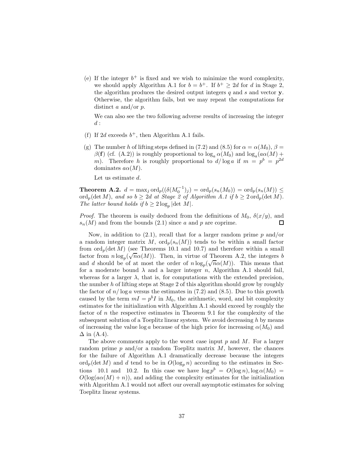(e) If the integer  $b^+$  is fixed and we wish to minimize the word complexity, we should apply Algorithm A.1 for  $b = b^+$ . If  $b^+ \geq 2d$  for d in Stage 2, the algorithm produces the desired output integers  $q$  and  $s$  and vector **y**. Otherwise, the algorithm fails, but we may repeat the computations for distinct a and/or  $p$ .

We can also see the two following adverse results of increasing the integer  $d$ :

- (f) If 2d exceeds  $b^+$ , then Algorithm A.1 fails.
- (g) The number h of lifting steps defined in (7.2) and (8.5) for  $\alpha = \alpha(M_0)$ ,  $\beta =$  $\beta$ (**f**) (cf. (A.2)) is roughly proportional to  $\log_a \alpha(M_0)$  and  $\log_a(a\alpha(M))$  + m). Therefore h is roughly proportional to  $d/\log a$  if  $m = p^b = p^{2d}$ dominates  $a\alpha(M)$ .

Let us estimate d.

**Theorem A.2.**  $d = \max_j \text{ord}_p((\delta(M_0^{-1})_j) = \text{ord}_p(s_n(M_0)) = \text{ord}_p(s_n(M)) \le$ <br>ord (dot M) and so b > 2d at Stage 2 of Algorithm A 1 if b > 2 ord (dot M) ord<sub>p</sub>(det M), and so  $b \geq 2d$  at Stage 2 of Algorithm A.1 if  $b \geq 2$  ord<sub>p</sub>(det M). *The latter bound holds if*  $b \geq 2 \log_p |\det M|$ *.* 

*Proof.* The theorem is easily deduced from the definitions of  $M_0$ ,  $\delta(x/y)$ , and  $s_n(M)$  and from the bounds (2.1) since a and p are coprime.  $s_n(M)$  and from the bounds (2.1) since a and p are coprime.

Now, in addition to  $(2.1)$ , recall that for a larger random prime p and/or a random integer matrix M,  $\text{ord}_p(s_n(M))$  tends to be within a small factor from  $\text{ord}_p(\det M)$  (see Theorems 10.1 and 10.7) and therefore within a small factor from  $n \log_p(\sqrt{n}\alpha(M))$ . Then, in virtue of Theorem A.2, the integers b actor from  $n \log_p(\sqrt{n\alpha(M)})$ . Then, in virtue of Theorem A.2, the integers  $\theta$  and  $d$  should be of at most the order of  $n \log_p(\sqrt{n\alpha(M)})$ . This means that for a moderate bound  $\lambda$  and a larger integer n, Algorithm A.1 should fail, whereas for a larger  $\lambda$ , that is, for computations with the extended precision, the number h of lifting steps at Stage 2 of this algorithm should grow by roughly the factor of  $n/\log a$  versus the estimates in (7.2) and (8.5). Due to this growth caused by the term  $mI = p^bI$  in  $M_0$ , the arithmetic, word, and bit complexity estimates for the initialization with Algorithm A.1 should exceed by roughly the factor of  $n$  the respective estimates in Theorem 9.1 for the complexity of the subsequent solution of a Toeplitz linear system. We avoid decreasing h by means of increasing the value log a because of the high price for increasing  $\alpha(M_0)$  and  $\Delta$  in (A.4).

The above comments apply to the worst case input  $p$  and  $M$ . For a larger random prime  $p$  and/or a random Toeplitz matrix  $M$ , however, the chances for the failure of Algorithm A.1 dramatically decrease because the integers  $\operatorname{ord}_p(\det M)$  and d tend to be in  $O(\log_p n)$  according to the estimates in Sections 10.1 and 10.2. In this case we have  $\log p^b = O(\log n)$ ,  $\log \alpha(M_0) =$  $O(\log(a\alpha(M) + n))$ , and adding the complexity estimates for the initialization with Algorithm A.1 would not affect our overall asymptotic estimates for solving Toeplitz linear systems.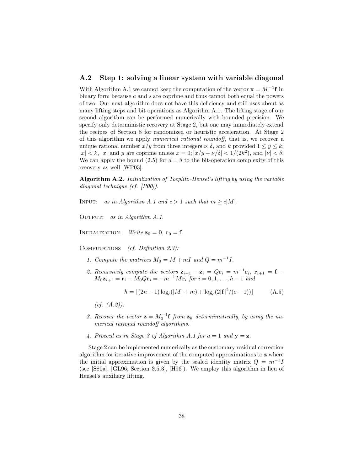### **A.2 Step 1: solving a linear system with variable diagonal**

With Algorithm A.1 we cannot keep the computation of the vector  $\mathbf{x} = M^{-1}\mathbf{f}$  in binary form because  $a$  and  $s$  are coprime and thus cannot both equal the powers of two. Our next algorithm does not have this deficiency and still uses about as many lifting steps and bit operations as Algorithm A.1. The lifting stage of our second algorithm can be performed numerically with bounded precision. We specify only deterministic recovery at Stage 2, but one may immediately extend the recipes of Section 8 for randomized or heuristic acceleration. At Stage 2 of this algorithm we apply *numerical rational roundoff*, that is, we recover a unique rational number  $x/y$  from three integers  $\nu$ ,  $\delta$ , and k provided  $1 \leq y \leq k$ ,  $|x| < k$ ,  $|x|$  and y are coprime unless  $x = 0$ ;  $|x/y - \nu/\delta| < 1/(2k^2)$ , and  $|\nu| < \delta$ . We can apply the bound (2.5) for  $d = \delta$  to the bit-operation complexity of this recovery as well [WP03].

**Algorithm A.2.** *Initialization of Toeplitz–Hensel's lifting by using the variable diagonal technique (cf. [P00]).*

INPUT: *as in Algorithm A.1 and*  $c > 1$  *such that*  $m \geq c|M|$ *.* 

Output: *as in Algorithm A.1.*

INITIALIZATION: *Write*  $z_0 = 0$ ,  $r_0 = f$ .

Computations *(cf. Definition 2.3):*

- *1. Compute the matrices*  $M_0 = M + mI$  *and*  $Q = m^{-1}I$ .
- 2. Recursively compute the vectors  $\mathbf{z}_{i+1} \mathbf{z}_i = Q\mathbf{r}_i = m^{-1}\mathbf{r}_i$ ,  $\mathbf{r}_{i+1} = \mathbf{f} \mathbf{z}_i$  $M_0 \mathbf{z}_{i+1} = \mathbf{r}_i - M_0 Q \mathbf{r}_i = -m^{-1} M \mathbf{r}_i$  for  $i = 0, 1, ..., h-1$  and

$$
h = \lfloor (2n - 1) \log_c (|M| + m) + \log_c (2|\mathbf{f}|^2 / (c - 1)) \rfloor \tag{A.5}
$$

- *(cf. (A.2)).*
- 3. Recover the vector  $\mathbf{z} = M_0^{-1} \mathbf{f}$  from  $\mathbf{z}_h$  deterministically, by using the nu-<br>merical rational roundoff algorithms *merical rational roundoff algorithms.*
- 4. Proceed as in Stage 3 of Algorithm A.1 for  $a = 1$  and  $y = z$ .

Stage 2 can be implemented numerically as the customary residual correction algorithm for iterative improvement of the computed approximations to **z** where the initial approximation is given by the scaled identity matrix  $Q = m^{-1}I$ (see [S80a], [GL96, Section 3.5.3], [H96]). We employ this algorithm in lieu of Hensel's auxiliary lifting.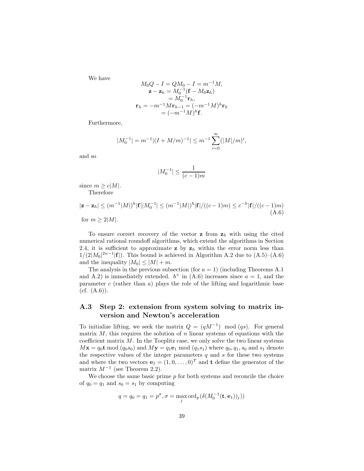We have

$$
M_0Q - I = QM_0 - I = m^{-1}M,
$$
  
\n
$$
\mathbf{z} - \mathbf{z}_h = M_0^{-1}(\mathbf{f} - M_0\mathbf{z}_h)
$$
  
\n
$$
= M_0^{-1}\mathbf{r}_h,
$$
  
\n
$$
\mathbf{r}_h = -m^{-1}M\mathbf{r}_{h-1} = (-m^{-1}M)^h\mathbf{r}_0
$$
  
\n
$$
= (-m^{-1}M)^h\mathbf{f}.
$$

Furthermore,

$$
|M_0^{-1}| = m^{-1}|(I + M/m)^{-1}| \le m^{-1} \sum_{i=0}^{\infty} (|M|/m)^i,
$$

and so

$$
|M_0^{-1}| \le \frac{1}{(c-1)m}
$$

since  $m \geq c|M|$ . Therefore

$$
|\mathbf{z} - \mathbf{z}_h| \le (m^{-1}|M|)^h |\mathbf{f}| |M_0^{-1}| \le (m^{-1}|M|)^h |\mathbf{f}| / ((c-1)m) \le c^{-h} |\mathbf{f}| / ((c-1)m)
$$
  
for  $m \ge 2|M|$ . (A.6)

To ensure correct recovery of the vector  $z$  from  $z_h$  with using the cited numerical rational roundoff algorithms, which extend the algorithms in Section 2.4, it is sufficient to approximate **z** by  $z_h$  within the error norm less than  $1/(2|M_0|^{2n-1}|\mathbf{f}|)$ . This bound is achieved in Algorithm A.2 due to  $(A.5)-(A.6)$ and the inequality  $|M_0| \leq |M| + m$ .

The analysis in the previous subsection (for  $a = 1$ ) (including Theorems A.1) and A.2) is immediately extended.  $b^+$  in (A.6) increases since  $a = 1$ , and the parameter  $c$  (rather than  $a$ ) plays the role of the lifting and logarithmic base  $(cf. (A.6)).$ 

## **A.3 Step 2: extension from system solving to matrix inversion and Newton's acceleration**

To initialize lifting, we seek the matrix  $Q = (qM^{-1}) \mod (qs)$ . For general matrix  $M$ , this requires the solution of  $n$  linear systems of equations with the coefficient matrix  $M$ . In the Toeplitz case, we only solve the two linear systems  $M\mathbf{x} = q_0\mathbf{t} \bmod (q_0s_0)$  and  $M\mathbf{y} = q_1\mathbf{e}_1 \bmod (q_1s_1)$  where  $q_0, q_1, s_0$  and  $s_1$  denote the respective values of the integer parameters  $q$  and  $s$  for these two systems and where the two vectors  $\mathbf{e}_1 = (1, 0, \dots, 0)^T$  and **t** define the generator of the matrix  $M^{-1}$  (see Theorem 2.2).

We choose the same basic prime  $p$  for both systems and reconcile the choice of  $q_0 = q_1$  and  $s_0 = s_1$  by computing

$$
q = q_0 = q_1 = p^{\sigma}, \sigma = \max_j \text{ord}_p(\delta(M_0^{-1}(\mathbf{t}, \mathbf{e}_1))_j))
$$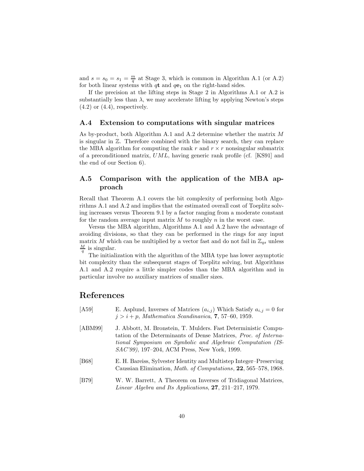and  $s = s_0 = s_1 = \frac{m}{q}$  at Stage 3, which is common in Algorithm A.1 (or A.2) for both linear systems with  $q\mathbf{t}$  and  $q\mathbf{e}_1$  on the right-hand sides.

If the precision at the lifting steps in Stage 2 in Algorithms A.1 or A.2 is substantially less than  $\lambda$ , we may accelerate lifting by applying Newton's steps  $(4.2)$  or  $(4.4)$ , respectively.

#### **A.4 Extension to computations with singular matrices**

As by-product, both Algorithm A.1 and A.2 determine whether the matrix M is singular in Z. Therefore combined with the binary search, they can replace the MBA algorithm for computing the rank r and  $r \times r$  nonsingular submatrix of a preconditioned matrix, UML, having generic rank profile (cf. [KS91] and the end of our Section 6).

## **A.5 Comparison with the application of the MBA approach**

Recall that Theorem A.1 covers the bit complexity of performing both Algorithms A.1 and A.2 and implies that the estimated overall cost of Toeplitz solving increases versus Theorem 9.1 by a factor ranging from a moderate constant for the random average input matrix  $M$  to roughly  $n$  in the worst case.

Versus the MBA algorithm, Algorithms A.1 and A.2 have the advantage of avoiding divisions, so that they can be performed in the rings for any input matrix M which can be multiplied by a vector fast and do not fail in  $\mathbb{Z}_{qs}$  unless  $\frac{M}{q}$  is singular.

The initialization with the algorithm of the MBA type has lower asymptotic bit complexity than the subsequent stages of Toeplitz solving, but Algorithms A.1 and A.2 require a little simpler codes than the MBA algorithm and in particular involve no auxiliary matrices of smaller sizes.

## **References**

| [A59]   | E. Asplund, Inverses of Matrices $(a_{i,j})$ Which Satisfy $a_{i,j} = 0$ for<br>$j > i + p$ , Mathematica Scandinavica, 7, 57–60, 1959.                                                                  |
|---------|----------------------------------------------------------------------------------------------------------------------------------------------------------------------------------------------------------|
| [ABM99] | J. Abbott, M. Bronstein, T. Mulders. Fast Deterministic Compu-<br>tation of the Determinants of Dense Matrices, <i>Proc. of Interna</i> -<br>tional Symposium on Symbolic and Algebraic Computation (IS- |

[B68] E. H. Bareiss, Sylvester Identity and Multistep Integer–Preserving Caussian Elimination, *Math. of Computations*, **22**, 565–578, 1968.

*SAC'99)*, 197–204, ACM Press, New York, 1999.

[B79] W. W. Barrett, A Theorem on Inverses of Tridiagonal Matrices, *Linear Algebra and Its Applications*, **27**, 211–217, 1979.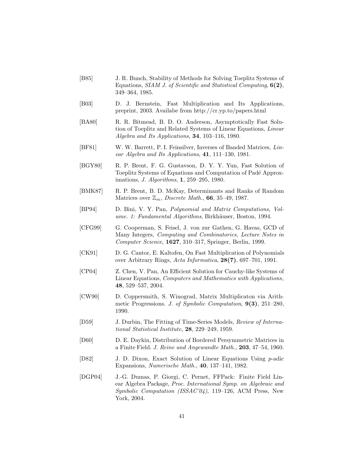- [B85] J. R. Bunch, Stability of Methods for Solving Toeplitz Systems of Equations, *SIAM J. of Scientific and Statistical Computing*, **6(2)**, 349–364, 1985.
- [B03] D. J. Bernstein, Fast Multiplication and Its Applications, preprint, 2003. Availabe from http://cr.yp.to/papers.html
- [BA80] R. R. Bitmead, B. D. O. Anderson, Asymptotically Fast Solution of Toeplitz and Related Systems of Linear Equations, *Linear Algebra and Its Applications*, **34**, 103–116, 1980.
- [BF81] W. W. Barrett, P. I. Feinsilver, Inverses of Banded Matrices, *Linear Algebra and Its Applications*, **41**, 111–130, 1981.
- [BGY80] R. P. Brent, F. G. Gustavson, D. Y. Y. Yun, Fast Solution of Toeplitz Systems of Equations and Computation of Padé Approximations, *J. Algorithms*, **1**, 259–295, 1980.
- [BMK87] R. P. Brent, B. D. McKay, Determinants and Ranks of Random Matrices over Zm, *Discrete Math.*, **66**, 35–49, 1987.
- [BP94] D. Bini, V. Y. Pan, *Polynomial and Matrix Computations, Volume. 1: Fundamental Algorithms*, Birkhäuser, Boston, 1994.
- [CFG99] G. Cooperman, S. Feisel, J. von zur Gathen, G. Havas, GCD of Many Integers, *Computing and Combinatorics, Lecture Notes in Computer Science*, **1627**, 310–317, Springer, Berlin, 1999.
- [CK91] D. G. Cantor, E. Kaltofen, On Fast Multiplication of Polynomials over Arbitrary Rings, *Acta Informatica*, **28(7)**, 697–701, 1991.
- [CP04] Z. Chen, V. Pan, An Efficient Solution for Cauchy-like Systems of Linear Equations, *Computers and Mathematics with Applications*, **48**, 529–537, 2004.
- [CW90] D. Coppersmith, S. Winograd, Matrix Multiplicaton via Arithmetic Progressions. *J. of Symbolic Computation*, **9(3)**, 251–280, 1990.
- [D59] J. Durbin, The Fitting of Time-Series Models, *Review of International Statistical Institute,* **28**, 229–249, 1959.
- [D60] D. E. Daykin, Distribution of Bordered Persymmetric Matrices in a Finite Field. *J. Reine und Angewandte Math.,* **203**, 47–54, 1960.
- [D82] J. D. Dixon, Exact Solution of Linear Equations Using p-adic Expansions, *Numerische Math.*, **40**, 137–141, 1982.
- [DGP04] J.-G. Dumas, P. Giorgi, C. Pernet, FFPack: Finite Field Linear Algebra Package, *Proc. International Symp. on Algebraic and Symbolic Computation (ISSAC'04)*, 119–126, ACM Press, New York, 2004.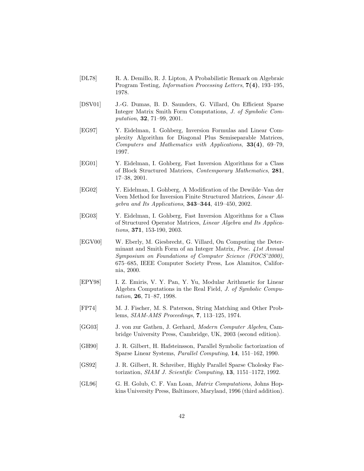- [DL78] R. A. Demillo, R. J. Lipton, A Probabilistic Remark on Algebraic Program Testing, *Information Processing Letters*, **7(4)**, 193–195, 1978.
- [DSV01] J.-G. Dumas, B. D. Saunders, G. Villard, On Efficient Sparse Integer Matrix Smith Form Computations, *J. of Symbolic Computation*, **32**, 71–99, 2001.
- [EG97] Y. Eidelman, I. Gohberg, Inversion Formulas and Linear Complexity Algorithm for Diagonal Plus Semiseparable Matrices, *Computers and Mathematics with Applications*, **33(4)**, 69–79, 1997.
- [EG01] Y. Eidelman, I. Gohberg, Fast Inversion Algorithms for a Class of Block Structured Matrices, *Contemporary Mathematics*, **281**, 17–38, 2001.
- [EG02] Y. Eidelman, I. Gohberg, A Modification of the Dewilde–Van der Veen Method for Inversion Finite Structured Matrices, *Linear Algebra and Its Applications*, **343–344**, 419–450, 2002.
- [EG03] Y. Eidelman, I. Gohberg, Fast Inversion Algorithms for a Class of Structured Operator Matrices, *Linear Algebra and Its Applications*, **371**, 153-190, 2003.
- [EGV00] W. Eberly, M. Giesbrecht, G. Villard, On Computing the Determinant and Smith Form of an Integer Matrix, *Proc. 41st Annual Symposium on Foundations of Computer Science (FOCS'2000)*, 675–685, IEEE Computer Society Press, Los Alamitos, California, 2000.
- [EPY98] I. Z. Emiris, V. Y. Pan, Y. Yu, Modular Arithmetic for Linear Algebra Computations in the Real Field, *J. of Symbolic Computation*, **26**, 71–87, 1998.
- [FP74] M. J. Fischer, M. S. Paterson, String Matching and Other Problems, *SIAM-AMS Proceedings*, **7**, 113–125, 1974.
- [GG03] J. von zur Gathen, J. Gerhard, *Modern Computer Algebra*, Cambridge University Press, Cambridge, UK, 2003 (second edition).
- [GH90] J. R. Gilbert, H. Hafsteinsson, Parallel Symbolic factorization of Sparse Linear Systems, *Parallel Computing*, **14**, 151–162, 1990.
- [GS92] J. R. Gilbert, R. Schreiber, Highly Parallel Sparse Cholesky Factorization, *SIAM J. Scientific Computing*, **13**, 1151–1172, 1992.
- [GL96] G. H. Golub, C. F. Van Loan, *Matrix Computations*, Johns Hopkins University Press, Baltimore, Maryland, 1996 (third addition).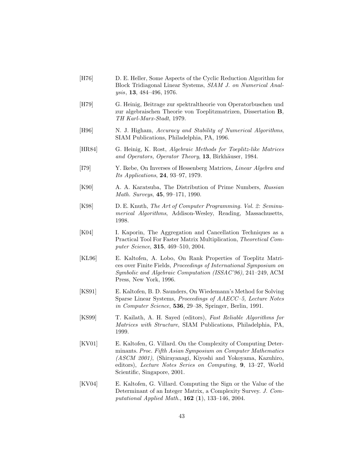- [H76] D. E. Heller, Some Aspects of the Cyclic Reduction Algorithm for Block Tridiagonal Linear Systems, *SIAM J. on Numerical Analysis*, **13**, 484–496, 1976.
- [H79] G. Heinig, Beitrage zur spektraltheorie von Operatorbuschen und zur algebraischen Theorie von Toeplitzmatrizen, Dissertation **B**, *TH Karl-Marx-Stadt*, 1979.
- [H96] N. J. Higham, *Accuracy and Stability of Numerical Algorithms*, SIAM Publications, Philadelphia, PA, 1996.
- [HR84] G. Heinig, K. Rost, *Algebraic Methods for Toeplitz-like Matrices* and Operators, Operator Theory, 13, Birkhäuser, 1984.
- [I79] Y. Ikebe, On Inverses of Hessenberg Matrices, *Linear Algebra and Its Applications*, **24**, 93–97, 1979.
- [K90] A. A. Karatsuba, The Distribution of Prime Numbers, *Russian Math. Surveys*, **45**, 99–171, 1990.
- [K98] D. E. Knuth, *The Art of Computer Programming. Vol. 2: Seminumerical Algorithms*, Addison-Wesley, Reading, Massachusetts, 1998.
- [K04] I. Kaporin, The Aggregation and Cancellation Techniques as a Practical Tool For Faster Matrix Multiplication, *Theoretical Computer Science*, **315**, 469–510, 2004.
- [KL96] E. Kaltofen, A. Lobo, On Rank Properties of Toeplitz Matrices over Finite Fields, *Proceedings of International Symposium on Symbolic and Algebraic Computation (ISSAC'96)*, 241–249, ACM Press, New York, 1996.
- [KS91] E. Kaltofen, B. D. Saunders, On Wiedemann's Method for Solving Sparse Linear Systems, *Proceedings of AAECC–5, Lecture Notes in Computer Science*, **536**, 29–38, Springer, Berlin, 1991.
- [KS99] T. Kailath, A. H. Sayed (editors), *Fast Reliable Algorithms for Matrices with Structure*, SIAM Publications, Philadelphia, PA, 1999.
- [KV01] E. Kaltofen, G. Villard. On the Complexity of Computing Determinants. *Proc. Fifth Asian Symposium on Computer Mathematics (ASCM 2001)*, (Shirayanagi, Kiyoshi and Yokoyama, Kazuhiro, editors), *Lecture Notes Series on Computing*, **9**, 13–27, World Scientific, Singapore, 2001.
- [KV04] E. Kaltofen, G. Villard. Computing the Sign or the Value of the Determinant of an Integer Matrix, a Complexity Survey. *J. Computational Applied Math.*, **162** (**1**), 133–146, 2004.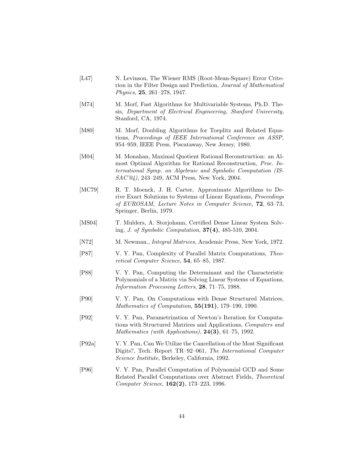- [L47] N. Levinson, The Wiener RMS (Root-Mean-Square) Error Criterion in the Filter Design and Prediction, *Journal of Mathematical Physics*, **25**, 261–278, 1947.
- [M74] M. Morf, Fast Algorithms for Multivariable Systems, Ph.D. Thesis, *Department of Electrical Engineering, Stanford University,* Stanford, CA, 1974.
- [M80] M. Morf, Doubling Algorithms for Toeplitz and Related Equations, *Proceedings of IEEE International Conference on ASSP*, 954–959, IEEE Press, Piscataway, New Jersey, 1980.
- [M04] M. Monahan, Maximal Quotient Rational Reconstruction: an Almost Optimal Algorithm for Rational Reconstruction, *Proc. International Symp. on Algebraic and Symbolic Computation (IS-SAC'04)*, 243–249, ACM Press, New York, 2004.
- [MC79] R. T. Moenck, J. H. Carter, Approximate Algorithms to Derive Exact Solutions to Systems of Linear Equations, *Proceedings of EUROSAM, Lecture Notes in Computer Science*, **72**, 63–73, Springer, Berlin, 1979.
- [MS04] T. Mulders, A. Storjohann, Certified Dense Linear System Solving, *J. of Symbolic Computation*, **37(4)**, 485-510, 2004.
- [N72] M. Newman., *Integral Matrices*, Academic Press, New York, 1972.
- [P87] V. Y. Pan, Complexity of Parallel Matrix Computations, *Theoretical Computer Science*, **54**, 65–85, 1987.
- [P88] V. Y. Pan, Computing the Determinant and the Characteristic Polynomials of a Matrix via Solving Linear Systems of Equations, *Information Processing Letters*, **28**, 71–75, 1988.
- [P90] V. Y. Pan, On Computations with Dense Structured Matrices, *Mathematics of Computation*, **55(191)**, 179–190, 1990.
- [P92] V. Y. Pan, Parametrization of Newton's Iteration for Computations with Structured Matrices and Applications, *Computers and Mathematics (with Applications)*, **24(3)**, 61–75, 1992.
- [P92a] V. Y. Pan, Can We Utilize the Cancellation of the Most Significant Digits?, Tech. Report TR–92–061, *The International Computer Science Institute*, Berkeley, California, 1992.
- [P96] V. Y. Pan, Parallel Computation of Polynomial GCD and Some Related Parallel Computations over Abstract Fields, *Theoretical Computer Science*, **162(2)**, 173–223, 1996.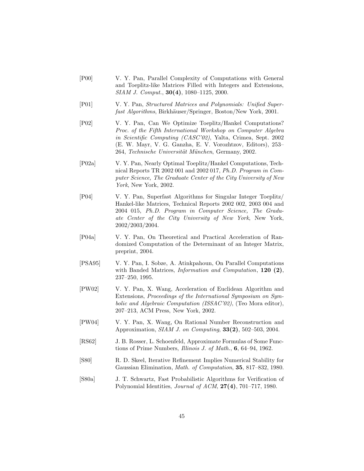- [P00] V. Y. Pan, Parallel Complexity of Computations with General and Toeplitz-like Matrices Filled with Integers and Extensions, *SIAM J. Comput.*, **30(4)**, 1080–1125, 2000.
- [P01] V. Y. Pan, *Structured Matrices and Polynomials: Unified Superfast Algorithms*, Birkhäuser/Springer, Boston/New York, 2001.
- [P02] V. Y. Pan, Can We Optimize Toeplitz/Hankel Computations? *Proc. of the Fifth International Workshop on Computer Algebra in Scientific Computing (CASC'02)*, Yalta, Crimea, Sept. 2002 (E. W. Mayr, V. G. Ganzha, E. V. Vorozhtzov, Editors), 253– 264, *Technische Universität München*, Germany, 2002.
- [P02a] V. Y. Pan, Nearly Optimal Toeplitz/Hankel Computations, Technical Reports TR 2002 001 and 2002 017, *Ph.D. Program in Computer Science, The Graduate Center of the City University of New York*, New York, 2002.
- [P04] V. Y. Pan, Superfast Algorithms for Singular Integer Toeplitz/ Hankel-like Matrices, Technical Reports 2002 002, 2003 004 and 2004 015, *Ph.D. Program in Computer Science, The Graduate Center of the City University of New York*, New York, 2002/2003/2004.
- [P04a] V. Y. Pan, On Theoretical and Practical Acceleration of Randomized Computation of the Determinant of an Integer Matrix, preprint, 2004.
- [PSA95] V. Y. Pan, I. Sobze, A. Atinkpahoun, On Parallel Computations with Banded Matrices, *Information and Computation*, **120 (2)**, 237–250, 1995.
- [PW02] V. Y. Pan, X. Wang, Acceleration of Euclidean Algorithm and Extensions, *Proceedings of the International Symposium on Symbolic and Algebraic Computation (ISSAC'02)*, (Teo Mora editor), 207–213, ACM Press, New York, 2002.
- [PW04] V. Y. Pan, X. Wang, On Rational Number Reconstruction and Approximation, *SIAM J. on Computing*, **33(2)**, 502–503, 2004.
- [RS62] J. B. Rosser, L. Schoenfeld, Approximate Formulas of Some Functions of Prime Numbers, *Illinois J. of Math.*, **6**, 64–94, 1962.
- [S80] R. D. Skeel, Iterative Refinement Implies Numerical Stability for Gaussian Elimination, *Math. of Computation*, **35**, 817–832, 1980.
- [S80a] J. T. Schwartz, Fast Probabilistic Algorithms for Verification of Polynomial Identities, *Journal of ACM*, **27(4)**, 701–717, 1980.